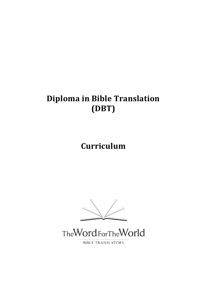# **Diploma in Bible Translation (DBT)**

# **Curriculum**



TheWordForTheWorld

**BIBLE TRANSLATORS**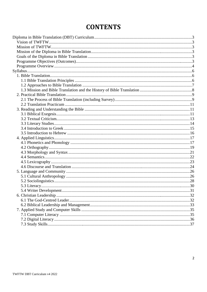# **CONTENTS**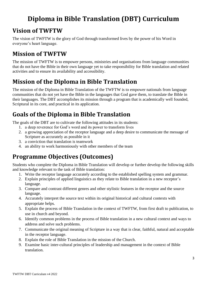# **Diploma in Bible Translation (DBT) Curriculum**

# <span id="page-2-1"></span><span id="page-2-0"></span>**Vision of TWFTW**

The vision of TWFTW is the glory of God through transformed lives by the power of his Word in everyone's heart language.

# <span id="page-2-2"></span>**Mission of TWFTW**

The mission of TWFTW is to empower persons, ministries and organisations from language communities that do not have the Bible in their own language yet to take responsibility for Bible translation and related activities and to ensure its availability and accessibility.

# <span id="page-2-3"></span>**Mission of the Diploma in Bible Translation**

The mission of the Diploma in Bible Translation of the TWFTW is to empower nationals from language communities that do not yet have the Bible in the languages that God gave them, to translate the Bible in their languages. The DBT accomplishes its mission through a program that is academically well founded, Scriptural in its core, and practical in its application.

# <span id="page-2-4"></span>**Goals of the Diploma in Bible Translation**

The goals of the DBT are to cultivate the following attitudes in its students:

- 1. a deep reverence for God's word and its power to transform lives
- 2. a growing appreciation of the receptor language and a deep desire to communicate the message of Scripture as accurately as possible in it
- 3. a conviction that translation is teamwork
- 4. an ability to work harmoniously with other members of the team

# <span id="page-2-5"></span>**Programme Objectives (Outcomes)**

Students who complete the Diploma in Bible Translation will develop or further develop the following skills and knowledge relevant to the task of Bible translation:

- 1. Write the receptor language accurately according to the established spelling system and grammar.
- 2. Explain principles of applied linguistics as they relate to Bible translation in a new receptor's language.
- 3. Compare and contrast different genres and other stylistic features in the receptor and the source language.
- 4. Accurately interpret the source text within its original historical and cultural contexts with appropriate helps.
- 5. Explain the process of Bible Translation in the context of TWFTW, from first draft to publication, to use in church and beyond.
- 6. Identify common problems in the process of Bible translation in a new cultural context and ways to address and solve such problems.
- 7. Communicate the original meaning of Scripture in a way that is clear, faithful, natural and acceptable in the receptor language.
- 8. Explain the role of Bible Translation in the mission of the Church.
- 9. Examine basic inter-cultural principles of leadership and management in the context of Bible translation.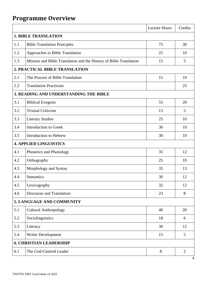# <span id="page-3-0"></span>**Programme Overview**

| <b>1. BIBLE TRANSLATION</b>                                               |       |              |
|---------------------------------------------------------------------------|-------|--------------|
| 1.1<br><b>Bible Translation Principles</b>                                | 75    | 30           |
| 1.2<br>Approaches to Bible Translation                                    | 25    | 10           |
| 1.3<br>Mission and Bible Translation and the History of Bible Translation | 15    | 5            |
| 2. PRACTICAL BIBLE TRANSLATION                                            |       |              |
| 2.1<br>The Process of Bible Translation                                   | 15    | 10           |
| 2.2<br><b>Translation Practicum</b>                                       |       | 25           |
| 3. READING AND UNDERSTANDING THE BIBLE                                    |       |              |
| 3.1<br><b>Biblical Exegesis</b>                                           | 55    | 20           |
| 3.2<br><b>Textual Criticism</b>                                           | 13    | 5            |
| 3.3<br><b>Literary Studies</b>                                            | 25    | 10           |
| 3.4<br><b>Introduction to Greek</b>                                       | 30    | 10           |
| 3.5<br>Introduction to Hebrew                                             | 30    | 10           |
| <b>4. APPLIED LINGUISTICS</b>                                             |       |              |
| 4.1<br>Phonetics and Phonology                                            | 35    | 12           |
| 4.2<br>Orthography                                                        | 25    | 10           |
| 4.3<br>Morphology and Syntax                                              | 35    | 13           |
| Semantics<br>4.4                                                          | 30    | 12           |
| 4.5<br>Lexicography                                                       | 32    | 12           |
| 4.6<br>Discourse and Translation                                          | 23    | 8            |
| 5. LANGUAGE AND COMMUNITY                                                 |       |              |
| 5.1<br><b>Cultural Anthropology</b>                                       | 40    | 20           |
| 5.2<br>Sociolinguistics                                                   | 18    | 6            |
| 5.3<br>Literacy                                                           | 30    | 12           |
| 5.4<br>Writer Development                                                 | 15    | 5            |
| <b>6. CHRISTIAN LEADERSHIP</b>                                            |       |              |
| 6.1<br>The God-Centred Leader                                             | $8\,$ | $\mathbf{2}$ |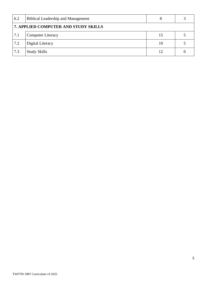| 6.2                                         | <b>Biblical Leadership and Management</b> |    |  |
|---------------------------------------------|-------------------------------------------|----|--|
| <b>7. APPLIED COMPUTER AND STUDY SKILLS</b> |                                           |    |  |
| 7.1                                         | <b>Computer Literacy</b>                  | 15 |  |
| 7.2                                         | Digital Literacy                          | 10 |  |
| 7.3                                         | <b>Study Skills</b>                       |    |  |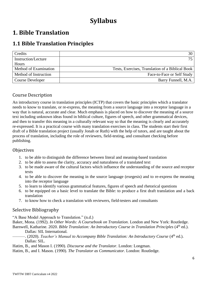# **Syllabus**

# <span id="page-5-1"></span><span id="page-5-0"></span>**1. Bible Translation**

# <span id="page-5-2"></span>**1.1 Bible Translation Principles**

| Credits               | 30-                                              |
|-----------------------|--------------------------------------------------|
| Instruction/Lecture   | 75.                                              |
| <b>Hours</b>          |                                                  |
| Method of Examination | Tests, Exercises, Translation of a Biblical Book |
| Method of Instruction | Face-to-Face or Self Study                       |
| Course Developer      | Barry Funnell, M.A.                              |

#### Course Description

An introductory course in translation principles (ICTP) that covers the basic principles which a translator needs to know to translate, or re-express, the meaning from a source language into a receptor language in a way that is natural, accurate and clear. Much emphasis is placed on how to discover the meaning of a source text including unknown ideas found in biblical culture, figures of speech, and other grammatical devices, and then to transfer this meaning in a culturally relevant way so that the meaning is clearly and accurately re-expressed. It is a practical course with many translation exercises in class. The students start their first draft of a Bible translation project (usually Jonah or Ruth) with the help of tutors, and are taught about the process of translation, including the role of reviewers, field-testing, and consultant checking before publishing.

#### **Objectives**

- 1. to be able to distinguish the difference between literal and meaning-based translation
- 2. to be able to assess the clarity, accuracy and naturalness of a translated text
- 3. to be made aware of the cultural factors which influence the understanding of the source and receptor texts
- 4. to be able to discover the meaning in the source language (exegesis) and to re-express the meaning into the receptor language
- 5. to learn to identify various grammatical features, figures of speech and rhetorical questions
- 6. to be equipped on a basic level to translate the Bible: to produce a first draft translation and a back translation
- 7. to know how to check a translation with reviewers, field-testers and consultants

#### Selective Bibliography

"A Base Model Approach to Translation." (n.d.)

Baker, Mona. (1992). *In Other Words: A Coursebook on Translation*. London and New York: Routledge. Barnwell, Katharine. 2020. *Bible Translation: An Introductory Course in Translation Principles* (4<sup>th</sup> ed.).

Dallas: SIL International. ———. (2020). *Teacher's Manual to Accompany Bible Translation: An Introductory Course* (4th ed.). Dallas: SIL.

Hatim, B., and Mason I. (1990). *Discourse and the Translator*. London: Longman.

Hatim, B., and I. Mason. (1990). *The Translator as Communicator*. London: Routledge.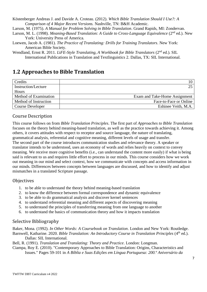Köstenberger Andreas J. and Davide A. Croteau. (2012). *Which Bible Translation Should I Use?: A Comparison of 4 Major Recent Versions.* Nashville, TN: B&H Academic.

Larson, M. (1975). *A Manual for Problem Solving in Bible Translation*. Grand Rapids, MI: Zondervan.

- Larson, M. L. (1998). *Meaning-Based Translation: A Guide to Cross-Language Equivalence* (2<sup>nd</sup> ed.). New York: University Press of America.
- Loewen, Jacob A. (1981). *The Practice of Translating: Drills for Training Translators*. New York: American Bible Society.

Wendland, Ernst R. 2011. *LiFE-Style Translating, A Workbook for Bible Translators* (2<sup>nd</sup> ed.). SIL International Publications in Translation and Textlinguistics 2. Dallas, TX: SIL International.

### <span id="page-6-0"></span>**1.2 Approaches to Bible Translation**

| Credits               | 10.                           |
|-----------------------|-------------------------------|
| Instruction/Lecture   |                               |
| Hours                 |                               |
| Method of Examination | Exam and Take-Home Assignment |
| Method of Instruction | Face-to-Face or Online        |
| Course Developer      | Eshinee Veith, M.A.           |

#### Course Description

This course follows on from *Bible Translation Principles*. The first part of *Approaches to Bible Translation* focuses on the theory behind meaning-based translation, as well as the practice towards achieving it. Among others, it covers attitudes with respect to receptor and source language, the nature of translating, grammatical analysis, referential and cognitive meaning, different levels of usage and transfer. The second part of the course introduces communication studies and relevance theory. A speaker or translator intends to be understood, uses an economy of words and relies heavily on context to convey meaning. We receive more cognitive benefits (i.e., can understand the content more easily) if what is being said is relevant to us and requires little effort to process in our minds. This course considers how we work out meaning in our mind and select context, how we communicate with concepts and access information in our minds. Differences between concepts between languages are discussed, and how to identify and adjust mismatches in a translated Scripture passage.

#### **Objectives**

- 1. to be able to understand the theory behind meaning-based translation
- 2. to know the difference between formal correspondence and dynamic equivalence
- 3. to be able to do grammatical analysis and discover kernel sentences
- 4. to understand referential meaning and different aspects of discovering meaning
- 5. to understand the principles of transferring meaning from one language to another
- 6. to understand the basics of communication theory and how it impacts translation

#### Selective Bibliography

Baker, Mona. (1992). *In Other Words: A Coursebook on Translation*. London and New York: Routledge. Barnwell, Katharine. 2020. *Bible Translation: An Introductory Course in Translation Principles* (4<sup>th</sup> ed.). Dallas: SIL International.

Bell, R. (1991). *Translation and Translating: Theory and Practice*. London: Longman.

Ciampa, Roy E. (2010). "Contemporary Approaches to Bible Translation: Origins, Characteristics and Issues." Pages 59-101 in *A Bíblia e Suas Edições em Língua Portuguesa: 200.º Aniversário da*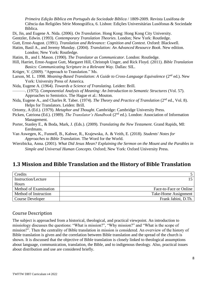*Primeira Edição Bíblica em Português da Sociedade Bíblica* / 1809-2009. Revista Lusófona de Ciência das Religiões Série Monográfica, 6. Lisbon: Edições Universitárias Lusófonas & Sociedade Bíblica.

Di, Jin, and Eugene A. Nida. (2006). *On Translation*. Hong Kong: Hong Kong City University.

Gentzler, Edwin. (1993). *Contemporary Translation Theories*. London; New York: Routledge.

Gutt, Ernst-August. (1991). *Translation and Relevance: Cognition and Context*. Oxford: Blackwell.

Hatim, Basil A., and Jeremy Munday. (2004). *Translation: An Advanced Resource Book*. New edition. London; New York: Routledge.

Hatim, B., and I. Mason. (1990). *The Translator as Communicator*. London: Routledge.

- Hill, Harriet, Ernst-August Gutt, Margaret Hill, Christoph Unger, and Rick Floyd. (2011). *Bible Translation Basics: Communicating Scripture in a Relevant Way*. Dallas: SIL.
- Krüger, V. (2009). "Approach to Translation." Ms.
- Larson, M. L. 1998. Meaning-Based Translation: A Guide to Cross-Language Equivalence (2<sup>nd</sup> ed.). New York: University Press of America.
- Nida, Eugene A. (1964). *Towards a Science of Translating*. Leiden: Brill.
	- ———. (1975). *Componential Analysis of Meaning: An Introduction to Semantic Structures* (Vol. 57). Approaches to Semiotics. The Hague et al.: Mouton.
- Nida, Eugene A., and Charles R. Taber. (1974). *The Theory and Practice of Translation* (2<sup>nd</sup> ed., Vol. 8). Helps for Translators. Leiden: Brill.
- Ortomy, A (Ed.). (1979). *Metaphor and Thought*. Cambridge: Cambridge University Press.
- Picken, Catriona (Ed.). (1989). *The Translator's Handbook* (2<sup>nd</sup> ed.). London: Association of Information Management.
- Porter, Stanley E., & Boda, Mark, J. (Eds.). (2009). *Translating the New Testament*. Grand Rapids, MI: Eerdmans.
- Van Aswegen, K., Funnell, B., Kabwe, R., Krajewska, A. & Veith, E. (2018). *Students' Notes for Approaches to Bible Translation.* The Word for the World.
- Wierzbicka, Anna. (2001). *What Did Jesus Mean? Explaining the Sermon on the Mount and the Parables in Simple and Universal Human Concepts*. Oxford; New York: Oxford University Press.

### <span id="page-7-0"></span>**1.3 Mission and Bible Translation and the History of Bible Translation**

| Credits                 |                        |
|-------------------------|------------------------|
| Instruction/Lecture     |                        |
| Hours                   |                        |
| Method of Examination   | Face-to-Face or Online |
| Method of Instruction   | Take-Home Assignment   |
| <b>Course Developer</b> | Frank Jabini, D.Th.    |

#### Course Description

The subject is approached from a historical, theological, and practical viewpoint. An introduction to missiology discusses the questions: "What is mission?", "Why mission?" and "What is the scope of mission?". Then the centrality of Bible translation in mission is considered. An overview of the history of Bible translation is given and the correlation between Bible translation and the spread of the church is shown. It is discussed that the objective of Bible translation is closely linked to theological assumptions about language, communication, translation, the Bible, and to indigenous theology. Also, practical issues about distribution and use are considered briefly.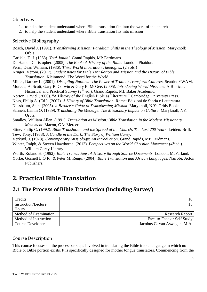#### **Objectives**

- 1. to help the student understand where Bible translation fits into the work of the church
- 2. to help the student understand where Bible translation fits into mission

#### Selective Bibliography

- Bosch, David J. (1991). *Transforming Mission: Paradigm Shifts in the Theology of Mission*. Maryknoll: Orbis.
- Carlisle, T. J. (1968). *You! Jonah!*. Grand Rapids, MI: Eerdmans.
- De Hamel, Christopher. (2005). *The Book: A History of the Bible*. London: Phaidon.
- Ferm, Dean William. (1986). *Third World Liberation Theologies*. (2 vols.)
- Krüger, Véroni. (2017). *Student notes for Bible Translation and Mission and the History of Bible Translation.* Kleinmond: The Word for the World.
- Miller, Darrow L. (2001). *Discipling Nations: The Power of Truth to Transform Cultures*. Seattle: YWAM.
- Moreau, A. Scott, Gary R. Corwin & Gary B. McGee. (2005). *Introducing World Missions*: A Biblical, Historical and Practical Survey (2<sup>nd</sup> ed.). Grand Rapids, MI: Baker Academic.
- Norton, David. (2000). "A History of the English Bible as Literature." Cambridge University Press.
- Noss, Philip A. (Ed.). (2007). *A History of Bible Translation*. Rome: Edizioni de Storia e Letteratura.
- Nussbaum, Stan. (2005). *A Reader's Guide to Transforming Mission*. Maryknoll, N.Y: Orbis Books.
- Sanneh, Lamin O. (1989). *Translating the Message: The Missionary Impact on Culture*. Maryknoll, NY: Orbis.
- Smalley, William Allen. (1991). *Translation as Mission*: *Bible Translation in the Modern Missionary Movement*. Macon, GA: Mercer.
- Stine, Philip C. (1992). *Bible Translation and the Spread of the Church*: *The Last 200 Years*. Leiden: Brill. Tew, Tony. (1988). *A Candle in the Dark: The Story of William Carey*.
- Verkuyl, J. (1978). *Contemporary Missiology: An Introduction*. Grand Rapids, MI: Eerdmans.
- Winter, Ralph, & Steven Hawthorne. (2013). Perspectives on the World Christian Movement (4<sup>th</sup> ed.). William Carey Library.
- Worth, Roland H. (1992). *Bible Translations*: *A History through Source Documents*. London: McFarland.
- Yorke, Gosnell L.O R., & Peter M. Renju. (2004). *Bible Translation and African Languages*. Nairobi: Acton Publishers.

# <span id="page-8-0"></span>**2. Practical Bible Translation**

## <span id="page-8-1"></span>**2.1 The Process of Bible Translation (including Survey)**

| Credits               |                              |
|-----------------------|------------------------------|
| Instruction/Lecture   |                              |
| Hours                 |                              |
| Method of Examination | <b>Research Report</b>       |
| Method of Instruction | Face-to-Face or Self Study   |
| Course Developer      | Jacobus G. van Aswegen, M.A. |

#### Course Description

This course focuses on the process or steps involved in translating the Bible into a language in which no Bible or Bible portion exists. It is specifically designed for mother tongue translators. Commencing from the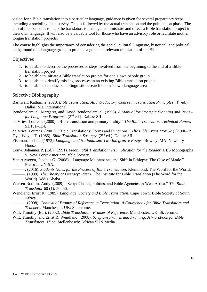vision for a Bible translation into a particular language, guidance is given for several preparatory steps including a sociolinguistic survey. This is followed by the actual translation and the publication phase. The aim of this course is to help the translators to manage, administrate and direct a Bible translation project in their own language. It will also be a valuable tool for those who have an advisory role or facilitate mother tongue translation projects.

The course highlights the importance of considering the social, cultural, linguistic, historical, and political background of a language group to produce a good and relevant translation of the Bible.

#### **Objectives**

- 1. to be able to describe the processes or steps involved from the beginning to the end of a Bible translation project
- 2. to be able to initiate a Bible translation project for one's own people group
- 3. to be able to identify missing processes in an existing Bible translation project
- 4. to be able to conduct sociolinguistic research in one's own language area

#### Selective Bibliography

- Barnwell, Katharine. 2020. *Bible Translation: An Introductory Course in Translation Principles* (4<sup>th</sup> ed.). Dallas: SIL International.
- Bendor-Samuel, Margaret, and David Bendor-Samuel. (1996). *A Manual for Strategic Planning and Review for Language Programs*. (2 nd ed.). Dallas: SIL.
- de Vries, Lourens. (2000). "Bible translation and primary orality." *The Bible Translator: Technical Papers* 51:101–114.
- de Vries, Lourens. (2001). "Bible Translations: Forms and Functions." *The Bible Translator* 52 (3): 306–19.

Dye, Wayne T. (1985). *Bible Translation Strategy*. (2<sup>nd</sup> ed.). Dallas: SIL.

- Fishman, Joshua. (1972). *Language and Nationalism: Two Integrative Essays*. Rowley, MA: Newbury House.
- Louw, Johannes P. (Ed.). (1991). *Meaningful Translation: Its Implication for the Reader*. UBS Monographs 5. New York: American Bible Society.
- Van Aswegen, Jacobus G. (2008). "Language Maintenance and Shift in Ethiopia: The Case of Maale." Pretoria: UNISA.
- ———. (2016). *Students Notes for the Process of Bible Translation.* Kleinmond: The Word for the World.
- ———. (1999). *The Theory of Literacy: Part 1*. The Institute for Bible Translation (The Word for the World) Addis Ababa.
- Warren-Rothlin, Andy. (2009). "Script Choice, Politics, and Bible Agencies in West Africa." *The Bible Translator* 60 (1): 50–66.
- Wendland, Ernst R. (1985). *Language, Society and Bible Translation*. Cape Town: Bible Society of South Africa.
- ———. (2008). *Contextual Frames of Reference in Translation: A Coursebook for Bible Translators and Teachers*. Manchester, UK: St. Jerome.
- Wilt, Timothy (Ed.). (2002). *Bible Translation: Frames of Reference*. Manchester, UK: St. Jerome.
- Wilt, Timothy, and Ernst R. Wendland. (2008). *Scripture Frames and Framing: A Workbook for Bible Translators*. 1st ed. Stellenbosch: African SUN Media.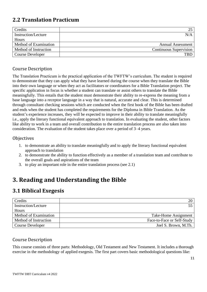# <span id="page-10-0"></span>**2.2 Translation Practicum**

| Credits                    | 25                       |
|----------------------------|--------------------------|
| <b>Instruction/Lecture</b> | N/A                      |
| Hours                      |                          |
| Method of Examination      | <b>Annual Assessment</b> |
| Method of Instruction      | Continuous Supervision   |
| <b>Course Developer</b>    | TBD                      |
|                            |                          |

#### Course Description

The Translation Practicum is the practical application of the TWFTW's curriculum. The student is required to demonstrate that they can apply what they have learned during the course when they translate the Bible into their own language or when they act as facilitators or coordinators for a Bible Translation project. The specific application in focus is whether a student can translate or assist others to translate the Bible meaningfully. This entails that the student must demonstrate their ability to re-express the meaning from a base language into a receptor language in a way that is natural, accurate and clear. This is determined through consultant checking sessions which are conducted when the first book of the Bible has been drafted and ends when the student has completed the requirements for the Diploma in Bible Translation. As the student's experience increases, they will be expected to improve in their ability to translate meaningfully i.e., apply the literary functional equivalent approach to translation. In evaluating the student, other factors like ability to work in a team and overall contribution to the entire translation process are also taken into consideration. The evaluation of the student takes place over a period of 3–4 years.

#### **Objectives**

- 1. to demonstrate an ability to translate meaningfully and to apply the literary functional equivalent approach to translation
- 2. to demonstrate the ability to function effectively as a member of a translation team and contribute to the overall goals and aspirations of the team
- 3. to play an important role in the entire translation process (see 2.1)

# <span id="page-10-1"></span>**3. Reading and Understanding the Bible**

### <span id="page-10-2"></span>**3.1 Biblical Exegesis**

| Credits               |                            |
|-----------------------|----------------------------|
| Instruction/Lecture   |                            |
| Hours                 |                            |
| Method of Examination | Take-Home Assignment       |
| Method of Instruction | Face-to-Face or Self-Study |
| Course Developer      | Joel S. Brown, M.Th.       |

#### Course Description

This course consists of three parts: Methodology, Old Testament and New Testament. It includes a thorough exercise in the methodology of applied exegesis. The first part covers basic methodological questions like: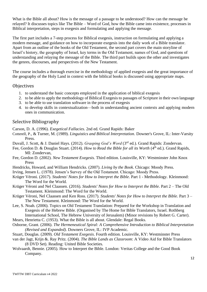What is the Bible all about? How is the message of a passage to be understood? How can the message be relayed? It discusses topics like The Bible – Word of God, how the Bible came into existence, processes in Biblical interpretation, steps in exegesis and formulating and applying the message.

The first part includes a 7-step process for Biblical exegesis, instruction on formulating and applying a modern message, and guidance on how to incorporate exegesis into the daily work of a Bible translator. Apart from an outline of the books of the Old Testament, the second part covers the main storyline of Israel's history, the geography of Israel, key terms in the Old Testament, names of God, and questions of understanding and relaying the message of the Bible. The third part builds upon the other and investigates the genres, discourses, and perspectives of the New Testament.

The course includes a thorough exercise in the methodology of applied exegesis and the great importance of the geography of the Holy Land in context with the biblical books is discussed using appropriate maps.

#### **Objectives**

- 1. to understand the basic concepts employed in the application of biblical exegesis
- 2. to be able to apply the methodology of Biblical Exegesis to passages of Scripture in their own language
- 3. to be able to use translation software in the process of exegesis
- 4. to develop skills in contextualization—both in understanding ancient contexts and applying modern ones in communication.

#### Selective Bibliography

Carson, D. A. (1996). *Exegetical Fallacies*. 2nd ed. Grand Rapids: Baker

- Cotterell, P., & Turner, M. (1989). *Linguistics and Biblical Interpretation.* Downer's Grove, IL: Inter-Varsity Press.
- Duvall, J. Scott, & J. Daniel Hays. (2012). *Grasping God's Word* (3<sup>rd</sup> ed.). Grand Rapids: Zondervan.
- Fee, Gordon D. & Douglas Stuart. (2014). *How to Read the Bible for all its Worth* (4<sup>th</sup> ed.). Grand Rapids, MI: Zondervan,
- Fee, Gordon D. (2002). *New Testament Exegesis.* Third edition. Louisville, KY: Westminster John Knox Press
- Hendricks, Howard, and William Hendricks. (2007). *Living by the Book.* Chicago: Moody Press.
- Irving, Jensen L. (1978). Jensen's Survey of the Old Testament. Chicago: Moody Press.
- Krüger Véroni. (2017). *Students' Notes for How to Interpret the Bible*. Part 1 Methodology*.* Kleinmond: The Word for the World.
- Krüger Véroni and Nel Claassen. (2016). *Students' Notes for How to Interpret the Bible*. Part 2 The Old Testament*.* Kleinmond: The Word for the World.
- Krüger Véroni, Nel Claassen and Ken Ross. (2017). *Students' Notes for How to Interpret the Bible*. Part 3 The New Testament*.* Kleinmond: The Word for the World.
- Lee, S. Noah. (2006). Topics on Old Testament Translation: Prepared for the Workshop in Translation and Exegesis of the Hebrew Bible. (Organised by The Home for Bible Translators, Israel. Rothberg International School, The Hebrew University of Jerusalem) (Minor revisions by Robert G. Carter).
- Mears, Henrietta C. (1953). What the Bible is all about. Glendale: Regal Books.
- Osborne, Grant. (2006). *The Hermeneutical Spiral: A Comprehensive Introduction to Biblical Interpretation (Revised and Expanded)*. Downers Grove, IL: IVP Academic.
- Stuart, Douglas. (2009). *Old Testament Exegesis*. Fourth edition. Louisville, KY: Westminster Press
- van der Jagt, Krijn &. Ray Pritz. (2004). *The Bible Lands as Classroom*: A Video Aid for Bible Translators (8 DVD Set). Reading: United Bible Societies.
- Wolvaardt, Bennie. (2005). How to Interpret the Bible. London: Veritas College and the Good Book Company.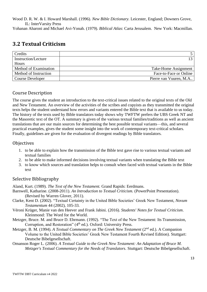Wood D. R. W. & I. Howard Marshall. (1996). *New Bible Dictionary.* Leicester, England; Downers Grove, IL: InterVarsity Press

Yohanan Aharoni and Michael Avi-Yonah. (1979). *Biblical Atlas*: Carta Jerusalem. New York: Macmillan.

## <span id="page-12-0"></span>**3.2 Textual Criticism**

| Credits               |                        |
|-----------------------|------------------------|
| Instruction/Lecture   |                        |
| Hours                 |                        |
| Method of Examination | Take-Home Assignment   |
| Method of Instruction | Face-to-Face or Online |
| Course Developer      | Pierre van Vuuren, M.A |

#### Course Description

The course gives the student an introduction to the text-critical issues related to the original texts of the Old and New Testament. An overview of the activities of the scribes and copyists as they transmitted the original texts helps the student understand how errors and variants entered the Bible text that is available to us today. The history of the texts used by Bible translators today shows why TWFTW prefers the UBS Greek NT and the Masoretic text of the OT. A summary is given of the various textual families/traditions as well as ancient translations that are our main sources for determining the best possible textual variants—this, and several practical examples, gives the student some insight into the work of contemporary text-critical scholars. Finally, guidelines are given for the evaluation of divergent readings by Bible translators.

#### **Objectives**

- 1. to be able to explain how the transmission of the Bible text gave rise to various textual variants and textual families
- 2. to be able to make informed decisions involving textual variants when translating the Bible text
- 3. to know which sources and translation helps to consult when faced with textual variants in the Bible text

#### Selective Bibliography

Aland, Kurt. (1989). *The Text of the New Testament.* Grand Rapids: Eerdmans.

- Barnwell, Katharine. (2008-2011). *An Introduction to Textual Criticism.* (PowerPoint Presentation). (Revised by Warren Glover, 2011).
- Clarke, Kent D. (2002). "Textual Certainty in the United Bible Societies' Greek New Testament, *Novum Testamentum* 44 (2002), 105-33.
- Véroni Krüger, Manie van den Heever and Frank Jabini. (2016). *Students' Notes for Textual Criticism.*  Kleinmond: The Word for the World.
- Metzger, Bruce. M. and Bruce D. Ehrmann. (1992). "The Text of the New Testament: Its Transmission, Corruption, and Restoration" (4<sup>th</sup> ed.). Oxford: University Press.
- Metzger, B. M. (1994). *A Textual Commentary on The Greek New Testament* (2<sup>nd</sup> ed.). A Companion Volume to the United Bible Societies' Greek New Testament Fourth Revised Edition). Stuttgart: Deutsche Bibelgesellschaft.
- Omanson Roger L. (2006). *A Textual Guide to the Greek New Testament: An Adaptation of Bruce M. Metzger's Textual Commentary for the Needs of Translators*. Stuttgart: Deutsche Bibelgesellschaft.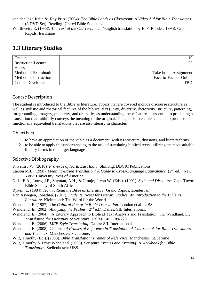van der Jagt, Krijn &. Ray Pritz. (2004). *The Bible Lands as Classroom: A Video Aid for Bible Translators.*  (8 DVD Set). Reading: United Bible Societies.

Wurthwein, E. (1988). *The Text of the Old Testament* (English translation by E. F. Rhodes, 1995). Grand Rapids: Eerdmans.

### <span id="page-13-0"></span>**3.3 Literary Studies**

| Credits               | 10                     |
|-----------------------|------------------------|
| Instruction/Lecture   | 25                     |
| Hours                 |                        |
| Method of Examination | Take-home Assignment   |
| Method of Instruction | Face-to-Face or Online |
| Course Developer      | TBD                    |

#### Course Description

The student is introduced to the Bible as literature. Topics that are covered include discourse structure as well as stylistic and rhetorical features of the biblical text (unity, diversity, rhetoricity, structure, patterning, foregrounding, imagery, phonicity, and dramatics as understanding these features is essential to producing a translation that faithfully conveys the meaning of the original. The goal is to enable students to produce functionally equivalent translations that are also literary in character.

#### **Objectives**

- 1. to have an appreciation of the Bible as a document, with its structure, divisions, and literary forms
- 2. to be able to apply this understanding to the task of translating biblical texts, utilizing the most suitable literary forms in the target language

#### Selective Bibliography

Khyeim J.W. (2010)*. Proverbs of North East India*. Shillong: DBCIC Publications.

- Larson M.L. (1998). *Meaning-Based Translation: A Guide to Cross-Language Equivalence.* (2<sup>nd</sup> ed.). New York: University Press of America.
- Nida, E.A., Louw, J.P., Snyman, A.H., & Cronje, J. van W. (Eds.). (1991). *Style and Discourse*. Cape Town: Bible Society of South Africa.
- Ryken, L. (1984). *How to Read the Bible as Literature.* Grand Rapids: Zondervan
- Van Aswegen, Jonathan. (2017). *Students' Notes for Literary Studies. An Introduction to the Bible as Literature.* Kleinmond: The Word for the World.
- Wendland, E. (1987). *The Cultural Factor in Bible Translation*. London et al.: UBS.
- Wendland, E. (2002). *Analyzing the Psalms*. (2<sup>nd</sup> ed.). Dallas: SIL International.
- Wendland, E. (2004). "A Literary Approach to Biblical Text Analysis and Translation." In: Wendland, E., *Translating the Literature of Scripture*. Dallas: SIL, 189-229.
- Wendland, E. (2006)*. L*i*FE-Style Translating*. Dallas: SIL International.
- Wendland, E. (2008). *Contextual Frames of Reference in Translation: A Coursebook for Bible Translators and Teachers.* Manchester: St. Jerome.
- Wilt, Timothy (Ed.). (2003). *Bible Translation: Frames of Reference*. Manchester: St. Jerome
- Wilt, Timothy & Ernst Wendland. (2008). Scripture *Frames and Framing: A Workbook for Bible Translators*. Stellenbosch: UBS.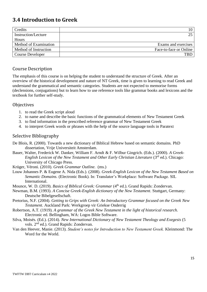# <span id="page-14-0"></span>**3.4 Introduction to Greek**

| Credits               | 10                     |
|-----------------------|------------------------|
| Instruction/Lecture   | າ<                     |
| Hours                 |                        |
| Method of Examination | Exams and exercises    |
| Method of Instruction | Face-to-face or Online |
| Course Developer      | TRI                    |
|                       |                        |

#### Course Description

The emphasis of this course is on helping the student to understand the structure of Greek. After an overview of the historical development and nature of NT Greek, time is given to learning to read Greek and understand the grammatical and semantic categories. Students are not expected to memorise forms (declensions, conjugations) but to learn how to use reference tools like grammar books and lexicons and the textbook for further self-study.

#### **Objectives**

- 1. to read the Greek script aloud
- 2. to name and describe the basic functions of the grammatical elements of New Testament Greek
- 3. to find information in the prescribed reference grammar of New Testament Greek
- 4. to interpret Greek words or phrases with the help of the source language tools in Paratext

#### Selective Bibliography

- De Blois, R. (2000). Towards a new dictionary of Biblical Hebrew based on semantic domains. PhD dissertation, Vrije Universiteit Amsterdam.
- Bauer, Walter, Frederick W. Danker, William F. Arndt & F. Wilbur Gingrich. (Eds.). (2000). *A Greek-English Lexicon of the New Testament and Other Early Christian Literature* (3 rd ed.). Chicago: University of Chicago Press.

Krüger, Véroni. (2010). *Greek Grammar Outline.* (ms.)

- Louw Johannes P. & Eugene A. Nida (Eds.). (2008). *Greek-English Lexicon of the New Testament Based on Semantic Domains*. (Electronic Book). In: Translator's Workplace: Software Package. SIL International.
- Mounce, W. D. (2019). *Basics of Biblical Greek: Grammar* (4<sup>th</sup> ed.). Grand Rapids: Zondervan.
- Newman, B.M. (1993). *A Concise Greek-English dictionary of the New Testament*. Stuttgart, Germany: Deutsche Bibelgesellschaft.
- Pretorius, N.F. (2004). *Getting to Grips with Greek: An Introductory Grammar focused on the Greek New Testament*. Auckland Park: Werkgroep vir Griekse Onderrig
- Robertson, A.T. (1919). *A grammar of the Greek New Testament in the light of historical research.*  Electronic ed. Bellingham, WA: Logos Bible Software.
- Silva, Moisés. (Ed.). (2014). *New International Dictionary of New Testament Theology and Exegesis* (5 vols. 2<sup>nd</sup> ed.). Grand Rapids: Zondervan.
- Van den Heever, Manie. (2013). *Student's notes for Introduction to New Testament Greek.* Kleinmond: The Word for the World.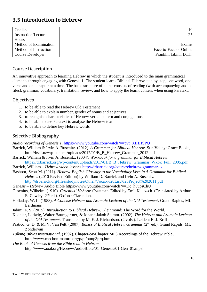# <span id="page-15-0"></span>**3.5 Introduction to Hebrew**

| Credits                 | 10                     |
|-------------------------|------------------------|
| Instruction/Lecture     | າ<                     |
| Hours                   |                        |
| Method of Examination   | Exams                  |
| Method of Instruction   | Face-to-Face or Online |
| <b>Course Developer</b> | Franklin Jabini, D.Th. |

#### Course Description

An innovative approach to learning Hebrew in which the student is introduced to the main grammatical elements through engaging with Genesis 1. The student learns Biblical Hebrew step by step, one word, one verse and one chapter at a time. The basic structure of a unit consists of reading (with accompanying audio files), grammar, vocabulary, translation, review, and how to apply the learnt content when using Paratext.

#### **Objectives**

- 1. to be able to read the Hebrew Old Testament
- 2. to be able to explain number, gender of nouns and adjectives
- 3. to recognise characteristics of Hebrew verbal pattern and conjugations
- 4. to be able to use Paratext to analyse the Hebrew text
- 5. to be able to define key Hebrew words

#### Selective Bibliography

*Audio recording of Genesis 1*. [https://www.youtube.com/watch?v=pvt\\_XIHHSPQ](https://www.youtube.com/watch?v=pvt_XIHHSPQ)

- Barrick, William & Irvin A. Busenitz. (2012). *A Grammar for Biblical Hebrew*. Sun Valley: Grace Books, http://bscf.nz/wp-content/uploads/2017/01/B\_B\_Hebrew\_Grammar\_2012.pdf
- Barrick, William & Irvin A. Busenitz. (2004). *Workbook for a grammar for Biblical Hebrew*. [https://drbarrick.org/wp-content/uploads/2017/01/B\\_B\\_Hebrew\\_Grammar\\_Wkbk\\_Full\\_2005.pdf](https://drbarrick.org/wp-content/uploads/2017/01/B_B_Hebrew_Grammar_Wkbk_Full_2005.pdf)

Barrick, William – *Hebrew video lessons* <http://drbarrick.org/courses/hebrew-grammar-1/>

Bashoor, Scott M. (2011). *Hebrew-English Glossary to the Vocabulary Lists in A Grammar for Biblical Hebrew* (2010 Revised Edition) by William D. Barrick and Irvin A. Busenitz <http://drbarrick.org/files/studynotes/Other/Vocab%20List%20Project%202011.pdf>

- *Genesis – Hebrew* Audio Bible [https://www.youtube.com/watch?v=Dc\\_h6upsChU](https://www.youtube.com/watch?v=Dc_h6upsChU)
- Gesenius, Wilhelm. (1910). *Gesenius' Hebrew Grammar*. Edited by Emil Kautzsch. (Translated by Arthur E. Cowley. 2<sup>nd</sup> ed.). Oxford: Clarendon.
- Holladay, W. L. (1988). *A Concise Hebrew and Aramaic Lexicon of the Old Testament*. Grand Rapids, MI: Eerdmans
- Jabini, F. S. (2015). *Introduction to Biblical Hebrew.* Kleinmond: The Word for the World.
- Koehler, Ludwig, Walter Baumgartner, & Johann Jakob Stamm. (2002). *The Hebrew and Aramaic Lexicon of the Old Testament.* Translated by M. E. J. Richardson. (2 vols.). Leiden: E. J. Brill
- Pratico, G. D, & M. V. Van Pelt. (2007). *Basics of Biblical Hebrew Grammar* (2<sup>nd</sup> ed.). Grand Rapids, MI: Zondervan
- *Talking Bibles International*. (1992). Chapter-by-Chapter MP3 Recordings of the Hebrew Bible, <http://www.mechon-mamre.org/p/pt/ptmp3prq.htm>
- *The Book of Genesis from the Bible read in Hebrew*

http://www.aoal.org/Hebrew/AudioBible/01 Genesis/01-Gen 01.mp3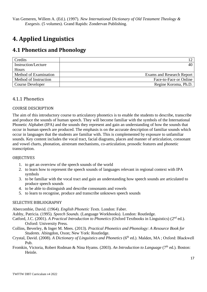Van Gemeren, Willem A. (Ed.). (1997). *New International Dictionary of Old Testament Theology & Exegesis*. (5 volumes). Grand Rapids: Zondervan Publishing.

# <span id="page-16-0"></span>**4. Applied Linguistics**

### <span id="page-16-1"></span>**4.1 Phonetics and Phonology**

| Credits               |                           |
|-----------------------|---------------------------|
| Instruction/Lecture   | 40                        |
| Hours                 |                           |
| Method of Examination | Exams and Research Report |
| Method of Instruction | Face-to-Face or Online    |
| Course Developer      | Regine Koroma, Ph.D.      |

#### 4.1.1 Phonetics

#### COURSE DESCRIPTION

The aim of this introductory course to articulatory phonetics is to enable the students to describe, transcribe and produce the sounds of human speech. They will become familiar with the symbols of the International Phonetic Alphabet (IPA) and the sounds they represent and gain an understanding of how the sounds that occur in human speech are produced. The emphasis is on the accurate description of familiar sounds which occur in languages that the students are familiar with. This is complemented by exposure to unfamiliar sounds. Key content includes the vocal tract, facial diagrams, places and manner of articulation, consonant and vowel charts, phonation, airstream mechanisms, co-articulation, prosodic features and phonetic transcription.

#### **OBJECTIVES**

- 1. to get an overview of the speech sounds of the world
- 2. to learn how to represent the speech sounds of languages relevant in regional context with IPA symbols
- 3. to be familiar with the vocal tract and gain an understanding how speech sounds are articulated to produce speech sounds
- 4. to be able to distinguish and describe consonants and vowels
- 5. to learn to recognise, produce and transcribe unknown speech sounds

#### SELECTIVE BIBLIOGRAPHY

Abercombie, David. (1964). *English Phonetic Texts*. London: Faber.

Ashby, Patricia. (1995). *Speech Sounds.* (Language Workbooks). London: Routledge.

Catford, J.C. (2001). *A Practical Introduction to Phonetics* (Oxford Textbooks in Linguistics) (2<sup>nd</sup> ed.). Oxford: University Press.

- Collins, Beverley, & Inger M. Mees. (2013). *Practical Phonetics and Phonology: A Resource Book for Students*. Abingdon, Oxon; New York: Routledge.
- Crystal, David. (2008). *A Dictionary of Linguistics and Phonetics* (6 th ed.). Malden, MA ; Oxford: Blackwell Pub.
- Fromkin, Victoria, Robert Rodman & Nina Hyams. (2003). An Introduction to Language (7<sup>th</sup> ed.). Boston: Heinle.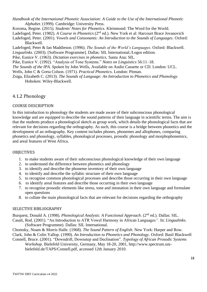*Handbook of the International Phonetic Association: A Guide to the Use of the International Phonetic Alphabet*. (1999). Cambridge: University Press.

Koroma, Regine. (2015). *Students' Notes for Phonetics.* Kleinmond: The Word for the World.

Ladefoged, Peter. (1982). *A Course in Phonetics* (2<sup>nd</sup> ed.). New York et al: Harcourt Brace Jovanovich

Ladefoged, Peter. (2001). *Vowels and Consonants: An Introduction to the Sounds of Languages*. Oxford: Blackwell.

Ladefoged, Peter & Ian Maddieson. (1996). *The Sounds of the World's Languages*. Oxford: Blackwell. *Lingualinks*. (2003). [Software Programme]. Dallas: SIL International./Logos edition.

Pike, Eunice V. (1963). *Dictation exercises in phonetics.* Santa Ana: SIL.

Pike, Eunice V. (1992). "Analysis of Tone Systems." *Notes on Linguistics* 56:11–18.

*The Sounds of the IPA. S*poken by John Wells, Available on Audio Cassette or CD. London: UCL.

Wells, John C & Greta Colson. (1971). *Practical Phonetics*. London: Pitman.

Zsiga, Elizabeth C. (2013). *The Sounds of Language: An Introduction to Phonetics and Phonology*. Hoboken: Wiley-Blackwell.

#### 4.1.2 Phonology

#### COURSE DESCRIPTION

In this introduction to phonology the students are made aware of their subconscious phonological knowledge and are equipped to describe the sound patterns of their language in scientific terms. The aim is that the students produce a phonological sketch as group work, which details the phonological facts that are relevant for decisions regarding the orthography. As such, this course is a bridge between phonetics and the development of an orthography. Key content includes phones, phonemes and allophones, comparing phonetics and phonology, syllables, phonological processes, prosodic phonology and morphophonemics, and areal features of West Africa.

#### **OBJECTIVES**

- 1. to make students aware of their subconscious phonological knowledge of their own language
- 2. to understand the difference between phonetics and phonology
- 3. to identify and describe the phoneme inventory of their own language
- 4. to identify and describe the syllabic structure of their own language
- 5. to recognise common phonological processes and describe those occurring in their own language
- 6. to identify areal features and describe those occurring in their own language
- 7. to recognise prosodic elements like stress, tone and intonation in their own language and formulate open questions
- 8. to collate the main phonological facts that are relevant for decisions regarding the orthography

#### SELECTIVE BIBLIOGRAPHY

Burquest, Donald A. (1998). *Phonological Analysis: A Functional Approach*. (2nd ed.). Dallas: SIL. Casali, Rod. (2001). "An Introduction to ATR Vowel Harmony in African Languages*".* In: *Lingualinks*. (Software Programme). Dallas: SIL International.

Chomsky, Noam & Morris Halle. (1968). *The Sound Pattern of English*. New York: Harper and Row. Clark, John & Colin Yallop. (1990). *An Introduction to Phonetics and Phonology*. Oxford: Basil Blackwell Connell, Bruce. (2001). "Downdrift, Downstep and Declination". *Typology of African Prosodic Systems*

*Workshop*. Bielefeld University, Germany, May 18-20, 2001, [http://www.spectrum.uni](http://www.spectrum.uni-bielefeld.de/TAPS/Connell.pdf)[bielefeld.de/TAPS/Connell.pdf,](http://www.spectrum.uni-bielefeld.de/TAPS/Connell.pdf) accessed 12th January 2010.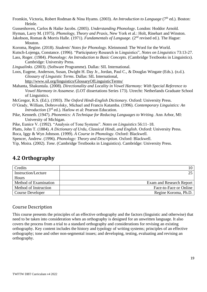- Fromkin, Victoria, Robert Rodman & Nina Hyams. (2003). An Introduction to Language (7<sup>th</sup> ed.). Boston: Heinle.
- Gussenhoven, Carlos & Haike Jacobs. (2005). *Understanding Phonology*. London: Hoddor Arnold.
- Hyman, Larry M. (1975). *Phonology, Theory and Praxis*, New York et al.: Holt, Rinehart and Winston.
- Jakobson, Roman & Morris Halle. (1971). *Fundamentals of Language*. (2<sup>nd</sup> revised ed.). The Hague: Mouton.
- Koroma, Regine. (2018). *Students' Notes for Phonology.* Kleinmond: The Word for the World.
- Kutsch-Lojenga, Constance. (1996). "Participatory Research in Linguistics", *Notes on Linguistics* 73:13-27.
- Lass, Roger. (1984). *Phonology: An Introduction to Basic Concepts*. (Cambridge Textbooks in Linguistics). Cambridge: University Press.
- *Lingualinks*. (2003). (Software Programme). Dallas: SIL International.
- Loos, Eugene, Anderson, Susan, Dwight H. Day Jr., Jordan, Paul C., & Douglas Wingate (Eds.). (n.d.). *Glossary of Linguistic Terms*. Dallas: SIL International, <http://www.sil.org/linguistics/GlossaryOfLinguisticTerms/>
- Mahanta, Shakuntala. (2008). *Directionality and Locality in Vowel Harmony: With Special Reference to Vowel Harmony in Assamese*. (LOT dissertations Series 173). Utrecht: Netherlands Graduate School of Linguistics.

McGregor, R.S. (Ed.). (1993). *The Oxford Hindi-English Dictionary.* Oxford: University Press.

- O'Grady, William, Dobrovolsky, Michael and Francis Katamba. (1996). *Contemporary Linguistics: An Introduction* (3<sup>rd</sup> ed.). Harlow et al: Pearson Education.
- Pike, Kenneth. (1947). *Phonemics: A Technique for Reducing Languages to Writing*. Ann Arbor, MI: University of Michigan.
- Pike, Eunice V. (1992). "Analysis of Tone Systems". *Notes on Linguistics* 56:11–18.

Platts, John T. (1884). *[A Dictionary of Urdu, Classical Hindi, and English](http://dsal.uchicago.edu/dictionaries/platts/)*. Oxford: University Press.

Roca, Iggy & Wyn Johnson. (1999). *A Course in Phonology*. Oxford: Blackwell.

Spencer, Andrew. (1996). *Phonology: Theory and Description*. Oxford: Blackwell.

Yip, Moira. (2002). *Tone*. (Cambridge Textbooks in Linguistics). Cambridge: University Press.

### <span id="page-18-0"></span>**4.2 Orthography**

| Credits               | 10                       |
|-----------------------|--------------------------|
| Instruction/Lecture   |                          |
| Hours                 |                          |
| Method of Examination | Exam and Research Report |
| Method of Instruction | Face-to-Face or Online   |
| Course Developer      | Regine Koroma, Ph.D.     |

#### Course Description

This course presents the principles of an effective orthography and the factors (linguistic and otherwise) that need to be taken into consideration when an orthography is designed for an unwritten language. It also covers the process from a trial to a standard orthography and considerations for revising an existing orthography. Key content includes the history and typology of writing systems; principles of an effective orthography; tone and other non-segmental issues; and developing, testing, evaluating and revising an orthography.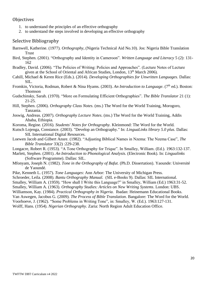#### **Objectives**

- 1. to understand the principles of an effective orthography
- 2. to understand the steps involved in developing an effective orthography

#### Selective Bibliography

- Barnwell, Katherine. (1977). *Orthography*, (Nigeria Technical Aid No.10). Jos: Nigeria Bible Translation Trust
- Bird, Stephen. (2001). "Orthography and Identity in Cameroon". *Written Language and Literacy* 5 (2): 131- 162
- Bradley, David. (2006). "The Policies of Writing: Policies and Approaches". (Lecture Notes of Lecture given at the School of Oriental and African Studies, London, 13<sup>th</sup> March 2006).
- Cahill, Michael & Keren Rice (Eds.). (2014). *Developing Orthographies for Unwritten Languages.* Dallas: SIL.
- Fromkin, Victoria, Rodman, Robert & Nina Hyams. (2003). An Introduction to Language. (7<sup>th</sup> ed.). Boston: Thomson
- Gudschinsky, Sarah. (1970). "More on Formulating Efficient Orthographies". *The Bible Translator* 21 (1): 21-25.
- Hill, Stephen. (2006). *Orthography Class Notes*. (ms.) The Word for the World Training, Morogoro, Tanzania.
- Joswig, Andreas. (2007). *Orthography Lecture Notes*. (ms.) The Word for the World Training, Addis Ababa, Ethiopia.
- Koroma, Regine. (2016). *Students' Notes for Orthography.* Kleinmond: The Word for the World.
- Kutsch Lojenga, Constance. (2003). "Develop an Orthography." In: *LinguaLinks library 5.0 plus*. Dallas: SIL International Digital Resources.
- Loewen Jacob and Gilbert Ansre. (1982). "Adjusting Biblical Names in Nzema: The Nzema Case", *The Bible Translator* 33(2) :229-238.
- Longacre, Robert R. (1953). "A Tone Orthography for Trique". In Smalley, William. (Ed.). 1963:132-137.
- Marlett, Stephen. (2001). *An Introduction to Phonological Analysis*. (Electronic Book). In: *Lingualinks* (Software Programme). Dallas: SIL.
- Mfonyam, Joseph N. (1982). *Tone in the Orthography of Bafut.* (Ph.D. Dissertation). Yaounde: Université de Yaoundé.
- Pike, Kenneth L. (1957). *Tone Languages*: Ann Arbor: The University of Michigan Press.
- Schroeder, Leila. (2008). *Bantu Orthography Manual.* (SIL e-Books 9). Dallas: SIL International.
- Smalley, William A. (1959). "How shall I Write this Language?" in Smalley, William (Ed.) 1963:31-52.
- Smalley, William A. (1963). *Orthography Studies: Articles on New Writing Systems*. London: UBS.
- Williamson, Kay. (1984). *Practical Orthography in Nigeria.* Ibadan: Heinemann Educational Books.
- Van Aswegen, Jacobus G. (2009). *The Process of Bible Translation*. Bangalore: The Word for the World.
- Voorhoeve, J. (1962). "Some Problems in Writing Tone", in: Smalley, W. (Ed.). 1963:127-131.

Wolff, Hans. (1954). *Nigerian Orthography*. Zaria: North Region Adult Education Office.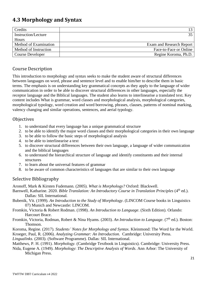# <span id="page-20-0"></span>**4.3 Morphology and Syntax**

| Credits               |                          |
|-----------------------|--------------------------|
| Instruction/Lecture   |                          |
| Hours                 |                          |
| Method of Examination | Exam and Research Report |
| Method of Instruction | Face-to-Face or Online   |
| Course Developer      | Regine Koroma, Ph.D.     |

#### Course Description

This introduction to morphology and syntax seeks to make the student aware of structural differences between languages on word, phrase and sentence level and to enable him/her to describe them in basic terms. The emphasis is on understanding key grammatical concepts as they apply to the language of wider communication in order to be able to discover structural differences in other languages, especially the receptor language and the Biblical languages. The student also learns to interlinearise a translated text. Key content includes What is grammar, word classes and morphological analysis, morphological categories, morphological typology, word creation and word borrowing, phrases, clauses, patterns of nominal marking, valency changing and similar operations, sentences, and aerial typology.

#### **Objectives**

- 1. to understand that every language has a unique grammatical structure
- 2. to be able to identify the major word classes and their morphological categories in their own language
- 3. to be able to follow the basic steps of morphological analysis
- 4. to be able to interlinearise a text
- 5. to discover structural differences between their own language, a language of wider communication and the biblical languages
- 6. to understand the hierarchical structure of language and identify constituents and their internal structures
- 7. to learn about the universal features of grammar
- 8. to be aware of common characteristics of languages that are similar to their own language

#### Selective Bibliography

Aronoff, Mark & Kirsten Fudemann. (2005). *What is Morphology?* Oxford: Blackwell.

Barnwell, Katharine. 2020. *Bible Translation: An Introductory Course in Translation Principles* (4<sup>th</sup> ed.). Dallas: SIL International.

Bubenik, Vit. (1999). *An Introduction to the Study of Morphology*. (LINCOM Course books in Linguistics 07) Munich and Newcastle: LINCOM.

- Fromkin, Victoria & Robert Rodman. (1998). *An Introduction to Language*. (Sixth Edition). Orlando: Harcourt Brace.
- Fromkin, Victoria, Rodman, Robert & Nina Hyams. (2003). An Introduction to Language. (7<sup>th</sup> ed.). Boston: Thomson.

Koroma, Regine. (2017). *Students' Notes for Morphology and Syntax.* Kleinmond: The Word for the World. Kroeger, Paul, R. (2006). *Analyzing Grammar: An Introduction.* Cambridge: University Press.

*Lingualinks*. (2003). (Software Programme). Dallas: SIL International.

Matthews, P. H. (1991). *Morphology.* (Cambridge Textbook in Linguistics). Cambridge: University Press.

Nida, Eugene A. (1949). *Morphology*: *The Descriptive Analysis of Words*. Ann Arbor: The University of Michigan Press.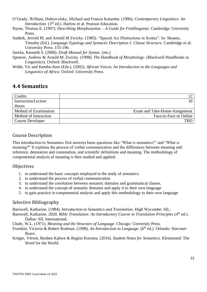- O'Grady, William, Dobrovolsky, Michael and Francis Katamba. (1996). *Contemporary Linguistics: An*  Introduction. (3<sup>rd</sup> ed.). Harlow et al: Pearson Education.
- Payne, Thomas E. (1997). *Describing Morphosyntax – A Guide for Fieldlinguists.* Cambridge: University Press.
- Saddok, Jerrold M, and Arnold M Zwicky. (1985). "Speech Act Distinctions in Syntax". In: Shopen, Timothy (Ed.). *Language Typology and Syntactic Description I: Clause Structure*. Cambridge et al: University Press. 155-196.

Sawka, Kenneth S. (2006). *Draft Manual for Syntax*. (ms.)

- Spencer, Andrew & Arnold M. Zwicky. (1998). *The Handbook of Morphology*. (Blackwell Handbooks in Linguistics). Oxford: Blackwell.
- Webb, Vic and Kembo-Sure (Eds.). (2002). *African Voices*, *An Introduction to the Languages and Linguistics of Africa.* Oxford: University Press.

### <span id="page-21-0"></span>**4.4 Semantics**

| Credits                    |                               |
|----------------------------|-------------------------------|
| <b>Instruction/Lecture</b> | 30-                           |
| Hours                      |                               |
| Method of Examination      | Exam and Take-Home-Assignment |
| Method of Instruction      | Face-to-Face or Online        |
| Course Developer           | TRL.                          |

#### Course Description

This introduction to Semantics first answers basic questions like "What is semantics?" and "What is meaning?" It explains the process of verbal communication and the differences between meaning and reference, denotation and connotation, and scientific definitions and meaning. The methodology of componential analysis of meaning is then studied and applied.

#### **Objectives**

- 1. to understand the basic concepts employed in the study of semantics
- 2. to understand the process of verbal communication
- 3. to understand the correlation between semantic domains and grammatical classes.
- 4. to understand the concept of semantic domains and apply it to their own language
- 5. to gain practice in componential analysis and apply this methodology to their own language

#### Selective Bibliography

Barnwell, Katharine. (1984). *Introduction to Semantics and Translation*. High Wycombe: SIL.

Barnwell, Katharine. 2020. *Bible Translation: An Introductory Course in Translation Principles* (4<sup>th</sup> ed.). Dallas: SIL International.

Chafe, W.L. (1971). *Meaning and the Structure of Language*. Chicago: University Press.

Fromkin, Victoria & Robert Rodman. (1998). An Introduction to Language. (6<sup>th</sup> ed.). Orlando: Harcourt Brace.

Krüger, Véroni, Reuben Kabwe & Regine Koroma. (2016). *Student Notes for Semantics.* Kleinmond: The Word for the World.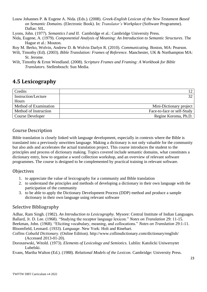Louw Johannes P. & Eugene A. Nida. (Eds.). (2008). *Greek-English Lexicon of the New Testament Based on Semantic Domains.* (Electronic Book). In: *Translator's Workplace* (Software Programme). Dallas: SIL.

Lyons, John. (1977). *Semantics I and II*. Cambridge et al.: Cambridge University Press.

Nida, Eugene, A. (1979). *Componential Analysis of Meaning: An Introduction to Semantic Structures*. The Hague et al.: Mouton.

Roy M. Berko, Wolvin, Andrew D. & Wolvin Darlyn R. (2010). *Communicating.* Boston, MA: Pearson.

Wilt, Timothy (Ed). (2003). *Bible Translation: Frames of Reference.* Manchester, UK & Northampton MA: St. Jerome.

Wilt, Timothy & Ernst Wendland. (2008). *Scripture Frames and Framing: A Workbook for Bible Translators*. Stellenbosch: Sun Media.

## <span id="page-22-0"></span>**4.5 Lexicography**

| Credits                    |                            |
|----------------------------|----------------------------|
| <b>Instruction/Lecture</b> |                            |
| Hours                      |                            |
| Method of Examination      | Mini-Dictionary project    |
| Method of Instruction      | Face-to-face or self-Study |
| Course Developer           | Regine Koroma, Ph.D.       |

#### Course Description

Bible translation is closely linked with language development, especially in contexts where the Bible is translated into a previously unwritten language. Making a dictionary is not only valuable for the community but also aids and accelerates the actual translation project. This course introduces the student to the principles and process of dictionary making. Topics covered include semantic domains, what constitutes a dictionary entry, how to organise a word collection workshop, and an overview of relevant software programmes. The course is designed to be complemented by practical training in relevant software.

#### **Objectives**

- 1. to appreciate the value of lexicography for a community and Bible translation
- 2. to understand the principles and methods of developing a dictionary in their own language with the participation of the community
- 3. to be able to apply the Dictionary Development Process (DDP) method and produce a sample dictionary in their own language using relevant software

#### Selective Bibliography

Adhar, Ram Singh. (1982). *An Introduction to Lexicography.* Mysore: Central Institute of Indian Languages. Ballard, Jr. D. Lee. (1968). "Studying the receptor language lexicon." *Notes on Translation* 29: 11-15. Beekman, John. (1968). "Eliciting vocabulary, meaning, and collocations." *Notes on Translation* 29:1-11. Bloomfield, Leonard. (1933). *Language*. New York: Holt and Rinehart.

*Collins Cobuild Dictionary*. (Online Edition).<http://www.collinsdictionary.com/dictionary/english/> (Accessed 2013-01-20).

Doroszewski, Witold. (1973). *Elements of Lexicology and Semiotics*. Lublin: Katolicki Uniwersytet Lubelski.

Evans, Martha Walton (Ed.). (1988). *Relational Models of the Lexicon*. Cambridge: University Press.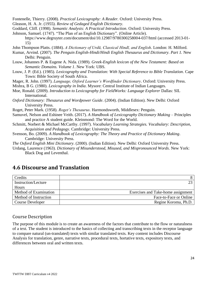Fontenelle, Thierry. (2008). *Practical Lexicography: A Reader.* Oxford: University Press.

- Gleason, H. A. Jr. (1955). *Review of Gedaged English Dictionary*.
- Goddard, Cliff. (1998). *Semantic Analysis: A Practical Introduction*. Oxford: University Press.
- Johnson, Samuel. (1747). "The Plan of an English Dictionary". (Online Article).
	- https://www.degruyter.com/document/doi/10.12987/9780300258004-037/html [\(accessed 2013-01-](http://andromeda.rutgers.edu/~jlynch/Texts/plan.html%20(accessed%202013-01-15) [15\)](http://andromeda.rutgers.edu/~jlynch/Texts/plan.html%20(accessed%202013-01-15)
- John Thompson Platts. (1884). *[A Dictionary of Urdū, Classical Hindī, and English.](http://books.google.com/?id=iDtbAAAAQAAJ&printsec=frontcover#v=onepage&q&f=false)* London: H. Milford.
- Kumar, Arvind. (2007). *The Penguin English-Hindi/Hindi English Thesaurus and Dictionary*. *Part 1.* New Delhi: Penguin.
- Louw, Johannes P. & Eugene A. Nida. (1989). *Greek-English lexicon of the New Testament: Based on Semantic Domains. Volume 1*. New York: UBS.
- Louw, J. P. (Ed.). (1985). *Lexicography and Translation: With Special Reference to Bible Translation*. Cape Town: Bible Society of South Africa.
- Mager, R. John. (1997). *Language, Oxford Learner's Wordfinder Dictionary*. Oxford: University Press.
- Mishra, B G. (1980). *Lexicography in India*. Mysore: Central Institute of Indian Languages.
- Moe, Ronald. (2009). *Introduction to Lexicography for FieldWorks: Language Explorer* Dallas: SIL International.
- *Oxford Dictionary: Thesaurus and Wordpower Guide*. (2004). (Indian Edition). New Delhi: Oxford University Press.
- Roget, Peter Mark. (1958). *Roget's Thesaurus*. Harmondsworth, Middlesex: Penguin.
- Samuvel, Nelson and Eshinee Veith. (2017). *A Handbook of Lexicography Dictionary Making* Principles and practice A student guide. Kleinmond: The Word for the World.
- Schmitt, Norbert & Michael McCarthy. (1997). *Vocabulary Learning Strategies. Vocabulary: Description, Acquisition and Pedagogy.* Cambridge: University Press.
- Svenson, Bo. (2009). *A Handbook of Lexicography: The Theory and Practice of Dictionary Making*. Cambridge: University Press.
- *The Oxford English Mini Dictionary*. (2000). (Indian Edition). New Delhi: Oxford University Press.
- Urdang, Laurence (1963). *Dictionary of Misunderstood, Misused, and Mispronounced Words*. New York: Black Dog and Leventhal.

## <span id="page-23-0"></span>**4.6 Discourse and Translation**

| Credits               |                                    |
|-----------------------|------------------------------------|
| Instruction/Lecture   |                                    |
| Hours                 |                                    |
| Method of Examination | Exercises and Take-home assignment |
| Method of Instruction | Face-to-Face or Online             |
| Course Developer      | Regine Koroma, Ph.D.               |

#### Course Description

The purpose of this module is to create an awareness of the factors that contribute to the flow or naturalness of a text. The student is introduced to the basics of collecting and transcribing texts in the receptor language to compare natural (un-translated) texts with similar translated texts. Key content includes Discourse Analysis for translation, genre, narrative texts, procedural texts, hortative texts, expository texts, and differences between oral and written texts.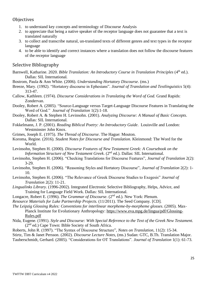#### **Objectives**

- 1. to understand key concepts and terminology of Discourse Analysis
- 2. to appreciate that being a native speaker of the receptor language does not guarantee that a text is translated naturally
- 3. to collect and transcribe natural, un-translated texts of different genres and text types in the receptor language
- 4. to be able to identify and correct instances where a translation does not follow the discourse features of the receptor language

#### Selective Bibliography

- Barnwell, Katharine. 2020. *Bible Translation: An Introductory Course in Translation Principles* (4<sup>th</sup> ed.). Dallas: SIL International.
- Bostrom, Paula & Ann White. (2006). *Understanding Hortatory Discourse*. (ms.)
- Breeze, Mary. (1992). "Hortatory discourse in Ephesians". *Journal of Translation and Textlinguistics* 5(4): 313-47.
- Callow, Kathleen. (1974). *Discourse Considerations in Translating the Word of God.* Grand Rapids: Zondervan.
- Dooley, Robert A. (2005). "Source-Language versus Target-Language Discourse Features in Translating the Word of God." *Journal of Translation* 1(2):1-18.
- Dooley, Robert A. & Stephen H. Levinsohn. (2001). *Analyzing Discourse: A Manual of Basic Concepts*. Dallas: SIL International.
- Fokkelmann, J. P. (2001). *Reading Biblical Poetry: An Introductory Guide*. Louisville and London: Westminster John Knox.
- Grimes, Joseph E. (1975). *The Thread of Discourse*. The Hague: Mouton.
- Koroma, Regine. (2016). *Student Notes for Discourse and Translation.* Kleinmond: The Word for the World.
- Levinsohn, Stephen H. (2000). *Discourse Features of New Testament Greek: A Coursebook on the Information Structure of New Testament Greek*. (2nd ed.). Dallas: SIL International.
- Levinsohn, Stephen H. (2006). "Checking Translations for Discourse Features", *Journal of Translation* 2(2): 3-29.
- Levinsohn, Stephen H. (2006). "Reasoning Styles and Hortatory Discourse", *Journal of Translation* 2(2): 1- 10.
- Levinsohn, Stephen H. (2006). "The Relevance of Greek Discourse Studies to Exegesis" *Journal of Translation* 2(2): 11-21.
- *Lingualinks Library.* (1996-2002). Integrated Electronic Selective Bibliography, Helps, Advice, and Training for Language Field Work. Dallas: SIL International.
- Longacre, Robert E. (1996). *The Grammar of Discourse*. (2<sup>nd</sup> ed.). New York: Plenum.
- *Resource Materials for Luke Partnership Projects.* (11/2011). The Seed Company. [CD].

*The Leipzig Glossing Rules: Conventions for interlinear morpheme-by-morpheme glosses*. (2005). Max-Planck Institute for Evolutionary Anthropology: [https://www.eva.mpg.de/lingua/pdf/Glossing-](https://www.eva.mpg.de/lingua/pdf/Glossing-Rules.pdf)[Rules.pdf](https://www.eva.mpg.de/lingua/pdf/Glossing-Rules.pdf)

- Nida, Eugene. (1991). *Style and Discourse: With Special Reference to the Text of the Greek New Testament.*  (2<sup>nd</sup> ed.) Cape Town: Bible Society of South Africa.
- Roberts, John R. (1997). "The Syntax of Discourse Structure", *Notes on Translation*, 11(2): 15-34. Stirtz, Tim & Janet Persson. (2002). *Discourse Lecture Notes*, (ms.) Sudan: GTC, B.Th. Translation Major. Tauberschmidt, Gerhard. (2005). "Considerations for OT Translations". *Journal of Translation* 1(1): 61-73.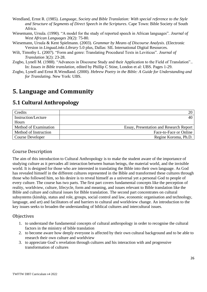- Wendland, Ernst R. (1985). *Language, Society and Bible Translation: With special reference to the Style and Structure of Segments of Direct Speech in the Scriptures*. Cape Town: Bible Society of South Africa.
- Wiesemann, Ursula. (1990). "A model for the study of reported speech in African languages". *Journal of West African Languages* 20(2): 75-80.
- Wiesemann, Ursula & Kent Spielmann. (2003). *Grammar by Means of Discourse Analysis*. (Electronic Version in *LinguaLinks Library* 5.0 plus, Dallas: SIL International Digital Resources.
- Wilt, Timothy L. (2007). "Form and genre: Translating Procedural Texts in Leviticus". *Journal of Translation* 3(2): 23-28.
- Zogbo, Lynell M. (1988). "Advances in Discourse Study and their Application to the Field of Translation".. In: *Issues in Bible translation*, edited by Phillip C Stine, London et al: UBS. Pages 1-29.
- Zogbo, Lynell and Ernst R.Wendland. (2000). *Hebrew Poetry in the Bible: A Guide for Understanding and for Translating*. New York: UBS.

# <span id="page-25-0"></span>**5. Language and Community**

# <span id="page-25-1"></span>**5.1 Cultural Anthropology**

| Credits                    | 20                                      |
|----------------------------|-----------------------------------------|
| <b>Instruction/Lecture</b> | 40                                      |
| Hours                      |                                         |
| Method of Examination      | Essay, Presentation and Research Report |
| Method of Instruction      | Face-to-Face or Online                  |
| <b>Course Developer</b>    | Regine Koroma, Ph.D.                    |

#### Course Description

The aim of this introduction to Cultural Anthropology is to make the student aware of the importance of studying culture as it pervades all interaction between human beings, the material world, and the invisible world. It is designed for those who are interested in translating the Bible into their own language. As God has revealed himself in the different cultures represented in the Bible and transformed these cultures through those who followed him, so his desire is to reveal himself as a universal yet a personal God to people of every culture. The course has two parts. The first part covers fundamental concepts like the perception of reality, worldview, culture, lifecycle, form and meaning, and issues relevant to Bible translation like the Bible and culture and cultural issues for Bible translation. The second part concentrates on cultural subsystems (kinship, status and role, groups, social control and law, economic organisation and technology, language, and art) and facilitators of and barriers to cultural and worldview change. An introduction to the key issues seeks to broaden the understanding of biblical cultures and intercultural issues.

#### **Objectives**

- 1. to understand the fundamental concepts of cultural anthropology in order to recognise the cultural factors in the ministry of bible translation
- 2. to become aware how deeply everyone is affected by their own cultural background and to be able to research their own culture and worldview
- 3. to appreciate God's revelation through cultures and his interaction with and progressive transformation of cultures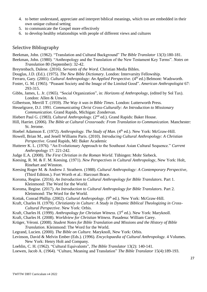- 4. to better understand, appreciate and interpret biblical meanings, which too are embedded in their own unique cultural setting
- 5. to communicate the Gospel more effectively
- 6. to develop healthy relationships with people of different views and cultures

#### Selective Bibliography

- Beekman, John. (1962). "Translation and Cultural Background" *The Bible Translator* 13(3):180-181.
- Beekman, John. (1980). "Anthropology and the Translation of the New Testament Key Terms". *Notes on Translation* 80 (September): 32-42.
- Breytenbach, Dalene. (2016). *Servants of the Word.* Christian Media Bibles.
- Douglas, J.D. (Ed.). (1975). *The New Bible Dictionary*. London: Intervarsity Fellowship.
- Ferraro, Gary. (2001). Cultural Anthropology: An Applied Perspective. (4<sup>th</sup> ed.) Belmont: Wadsworth.
- Foster, G. M. (1965). "Peasant Society and the Image of the Limited Good". *American Anthropologist* 67: 293-315.
- Gibbs, James, L. Jr. (1965). "Social Organization", in: *Horizons of Anthropology*, (edited by Sol Tax). London: Allen & Unwin.
- Gilbertson, Merrill T. (1959). *The Way it was in Bible Times*. London: Lutterworth Press.
- Hesselgrave, D.J. 1991. *Communicating Christ Cross-Culturally: An Introduction to Missionary Communication*. Grand Rapids, Michigan: Zondervan.
- Hiebert Paul G. (1983). *Cultural Anthropology*. (2<sup>nd</sup> ed.). Grand Rapids: Baker House.
- Hill, Harriet. (2006). *The Bible at Cultural Crossroads: From Translation to Communication.* Manchester: St. Jerome.
- Hoebel Adamson E. (1972). *Anthropology. The Study of Man*. (4<sup>th</sup> ed.). New York: McGraw-Hill.
- Howell, Brian M., and Jenell Williams Paris. (2010). *Introducing Cultural Anthropology: A Christian Perspective*. Grand Rapids, MI: Baker Academic
- Hutterer K. L. (1976). "An Evolutionary Approach to the Southeast Asian Cultural Sequence." *Current Anthropology* 17: 221-242.
- Judge E.A. (2008). *The First Christian in the Roman World*. Tübingen: Mohr Siebeck.
- Keesing, R. M. & F. M. Keesing. (1971). *New Perspectives in Cultural Anthropology*, New York: Holt, Rinehart and Winston.
- Keesing Roger M. & Andrew J. Strathern. (1988). *Cultural Anthropology: A Contemporary Perspective*, (Third Edition.). Fort Worth et al.: Harcourt Brace.
- Koroma, Regine. (2016). *An Introduction to Cultural Anthropology for Bible Translators.* Part 1. Kleinmond: The Word for the World.
- Koroma, Regine. (2017). *An Introduction to Cultural Anthropology for Bible Translators.* Part 2. Kleinmond: The Word for the World.
- Kottak, Conrad Phillip. (2002). *Cultural Anthropology*. (9<sup>th</sup> ed.). New York: McGraw-Hill.
- Kraft, Charles H. (1979). *Christianity in Culture: A Study in Dynamic Biblical Theologizing in Cross-Cultural Perspective*. New York: Orbis.
- Kraft, Charles H. (1999). *Anthropology for Christian Witness*. (3<sup>rd</sup> ed.). New York: Maryknoll.
- Kraft, Charles H. (2008). *Worldview for Christian Witness.* Pasadena: William Carey.
- Krüger, Véroni. (2008). *Student Notes for Bible Translation and Missions and the History of Bible Translation*. Kleinmond: The Word for the World.
- Legrand, Lucien. (2000). *The Bible on Culture.* Maryknoll, New York: Orbis.
- Levinson, David & Melvin Ember (Eds.). (1996). *Encyclopaedia of Cultural Anthropology.* 4 Volumes. New York: Henry Holt and Company.
- Loehlin, C. H. (1962). "Cultural Equivalents", *The Bible Translator* 13(2): 140-141.
- Loewen, Jacob A. (1964). "Culture, Meaning and Translation" *The Bible Translator* 15(4):189-193.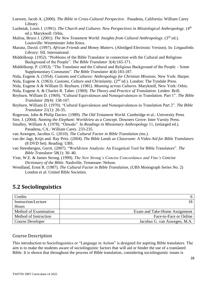- Loewen, Jacob A. (2000). *The Bible in Cross-Cultural Perspective.* Pasadena, California: William Carey Library.
- Luzbetak, Louis J. (1991). *The Church and Cultures: New Perspectives in Missiological Anthropology*. (4<sup>th</sup> ed.). Maryknoll: Orbis.
- Malina, Bruce J. (2001). *The New Testament World: Insights from Cultural Anthropology*. (3<sup>rd</sup> ed.). Louisville: Westminster John Knox.
- Maranz, David. (1997). *African Friends and Money Matter*s. (Abridged Electronic Version). In: *Lingualinks Library*: SIL International.
- Middelkoop. (1952). "Problems of the Bible Translator in connection with the Cultural and Religious Background of the People". *The Bible Translator* 3(4):165-171.
- Middelkoop, P. (1953). "The Translator and the Cultural and Religious Background of the People Some Supplementary Comments". *The Bible Translator* 4(4):183-187.
- Nida, Eugene A. (1954). *Customs and Cultures: Anthropology for Christian Missions.* New York: Harper.
- Nida, Eugene A. (1963). *Customs, Culture and Christianity*. (2<sup>nd</sup> ed.). London: The Tyndale Press.
- Nida, Eugene A & William D. Reyburn. (1981). *Meaning across Cultures*. Maryknoll, New York: Orbis.
- Nida, Eugene A. & Charles R. Taber. (1969). *The Theory and Practice of Translation*. Leiden: Brill.
- Reyburn, William D. (1969). "Cultural Equivalences and Nonequivalences in Translation. Part 1". *The Bible Translator* 20(4): 158-167.
- Reyburn, William D. (1970). "Cultural Equivalences and Nonequivalences in Translation Part 2". *The Bible Translator* 21(1): 26-35.
- Rogerson, John & Philip Davies. (1989). *The Old Testament World.* Cambridge et al.: University Press
- Sire, J. (2004). *Naming the Elephant: Worldview as a Concept.* Downers Grove: Inter Varsity Press.
- Smalley, William A. (1978). "Omodo". In *Readings in Missionary Anthropology* 11, (enlarged ed.). Pasadena, CA.: William Carey. 233-235.
- van Aswegen, Jacobus G. (2010). *The Cultural Factor in Bible Translation (ms.).*
- van der Jagt, Krijn and. Ray Pritz. (2004). *The Bible Lands as Classroom: A Video Aid for Bible Translators*  (8 DVD Set). Reading: UBS.
- van Steenbergen, Gerrit. (2007). "Worldview Analysis: An Exegetical Tool for Bible Translators". *The Bible Translator* 58(1): 30–40.
- Vine, W.E. & James Strong. (1999). *The New Strong's Concise Concordance and Vine's Concise Dictionary of the Bible*. Nashville, Tennessee: Nelson.
- Wendland, Ernst R. (1987). *The Cultural Factor in Bible Translation*, (UBS Monograph Series No. 2) London et al: United Bible Societies.

## <span id="page-27-0"></span>**5.2 Sociolinguistics**

| Credits               |                               |
|-----------------------|-------------------------------|
| Instruction/Lecture   |                               |
| <b>Hours</b>          |                               |
| Method of Examination | Exam and Take-Home Assignment |
| Method of Instruction | Face-to-Face or Online        |
| Course Developer      | Jacobus G. van Aswegen, M.A.  |

#### Course Description

This introduction to Sociolinguistics or "Language in Action" is designed for aspiring Bible translators. The aim is to make the students aware of sociolinguistic factors that will aid or hinder the use of a translated Bible. It is shown that throughout the process of Bible translation, considering sociolinguistic issues is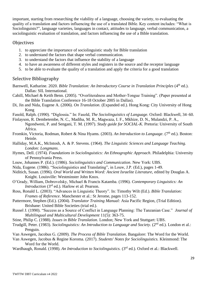important, starting from researching the viability of a language, choosing the variety, to evaluating the quality of a translation and factors influencing the use of a translated Bible. Key content includes: "What is Sociolinguists?", language varieties, languages in contact, attitudes to language, verbal communication, a sociolinguistic evaluation of translation, and factors influencing the use of a Bible translation.

#### **Objectives**

- 1. to appreciate the importance of sociolinguistic study for Bible translation
- 2. to understand the factors that shape verbal communication.
- 3. to understand the factors that influence the stability of a language
- 4. to have an awareness of different styles and registers in the source and the receptor language
- 5. to be able to evaluate the quality of a translation and apply the criteria for a good translation

#### Selective Bibliography

- Barnwell, Katharine. 2020. *Bible Translation: An Introductory Course in Translation Principles* (4<sup>th</sup> ed.). Dallas: SIL International.
- Cahill, Michael & Keith Benn. (2005). "Overliteralness and Mother-Tongue Training". (Paper presented at the Bible Translation Conference 16-18 October 2005 in Dallas).
- Di, Jin and Nida, Eugene A. (2006). *On Translation*. (Expanded ed.). Hong Kong: City University of Hong Kong
- Fasold, Ralph. (1990). "Diglossia." In: Fasold, *The Sociolinguistics of Language*. Oxford: Blackwell, 34–60.
- Finlayson, R. Dembetembe, N. C., Madiba, M. R., Magwaza, I. F., Mkhize, D. N., Mulandzi, P. A., Ngondweni, P. and Sengani, T. M. (1997). *Study guide for SOCIAL-K*. Pretoria: University of South Africa.
- Fromkin, Victoria, Rodman, Robert & Nina Hyams. (2003). An Introduction to Language. (7<sup>th</sup> ed.). Boston: Heinle.
- Halliday, M.A.K., McIntosh, A. & P. Stevens. (1964). *The Linguistic Sciences and Language Teaching. London: Longmans*.
- Hymes, Dell. (1974). *Foundations in Sociolinguistics: An Ethnographic Approach*. Philadelphia: University of Pennsylvania Press.
- Louw, Johannes P. (Ed.). (1986). *Sociolinguistics and Communication*. New York: UBS.
- Nida, Eugene. (1986). "Sociolinguistics and Translating", in Louw, J.P. (Ed.), pages 1-49.
- Niditich, Susan. (1996). *Oral World and Written Word: Ancient Israelite Literature,* edited by Douglas A. Knight. Louisville: Westminster John Knox.
- O'Grady, William, Dobrovolsky, Michael & Francis Katamba. (1996). *Contemporary Linguistics: An Introduction* (3<sup>rd</sup> ed.). Harlow et al: Pearson.
- Ross, Ronald L. (2003). "Advances in Linguistic Theory". In: Timothy Wilt (Ed.). *Bible Translation: Frames of Reference*. Manchester et al.: St Jerome, pages 113-152.
- Pattermore, Stephen (Ed.). (2004). *Translator Training Manual:* Asia Pacific Region, (Trial Edition). Brisbane: United Bible Societies (trial ed.).
- Russel J. (1990). "Success as a Source of Conflict in Language Planning: The Tanzanian Case." *Journal of Multilingual and Multicultural Development* 11(5): 363-75.
- Stine, Philip C. (1988). *Issues in Bible Translation*. London; New York and Stuttgart: UBS.
- Trudgill, Peter. (1983). *Sociolinguistics: An Introduction to Language and Society.* (2<sup>nd</sup> ed.). London et al.: Penguin.
- Van Aswegen, Jacobus G. (2009). *The Process of Bible Translation*. Bangalore: The Word for the World.
- Van Aswegen, Jacobus & Regine Koroma. (2017). *Students' Notes for Sociolinguistics.* Kleinmond: The Word for the World.
- Wardhaugh, Ronald. (1998). An Introduction to Sociolinguistics. (3<sup>rd</sup> ed.). Oxford et al.: Blackwell.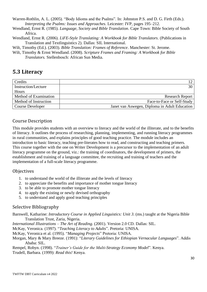Warren-Rothlin, A. L. (2005). "Body Idioms and the Psalms". In: Johnston P.S. and D. G. Firth (Eds.). *Interpreting the Psalms: Issues and Approaches*. Leicester: IVP, pages 195–212.

Wendland, Ernst R. (1985). *Language, Society and Bible Translation*. Cape Town: Bible Society of South Africa.

Wendland, Ernst R. (2006). *L*i*FE-Style Translating: A Workbook for Bible Translators*. (Publications in Translation and Textlinguistics 2). Dallas: SIL International.

Wilt, Timothy (Ed.). (2003). *Bible Translation: Frames of Reference*. Manchester: St. Jerome.

### <span id="page-29-0"></span>**5.3 Literacy**

| Credits               |                                               |
|-----------------------|-----------------------------------------------|
| Instruction/Lecture   | 30-                                           |
| Hours                 |                                               |
| Method of Examination | <b>Research Report</b>                        |
| Method of Instruction | Face-to-Face or Self-Study                    |
| Course Developer      | Janet van Aswegen, Diploma in Adult Education |

#### Course Description

This module provides students with an overview to literacy and the world of the illiterate, and to the benefits of literacy. It outlines the process of researching, planning, implementing, and running literacy programmes in rural communities, and explains principles of good teaching practice. The module includes an introduction to basic literacy, teaching pre-literates how to read, and constructing and teaching primers. This course together with the one on Writer Development is a precursor to the implementation of an adult literacy programme on the ground, viz.: the training of coordinators, the development of primers, the establishment and training of a language committee, the recruiting and training of teachers and the implementation of a full-scale literacy programme.

#### **Objectives**

- 1. to understand the world of the illiterate and the levels of literacy
- 2. to appreciate the benefits and importance of mother tongue literacy
- 3. to be able to promote mother tongue literacy
- 4. to apply the existing or newly devised orthography
- 5. to understand and apply good teaching principles

#### Selective Bibliography

Barnwell, Katharine: *Introductory Course in Applied Linguistics: Unit 3*. (ms.) taught at the Nigeria Bible Translation Trust, Zaria, Nigeria.

*International Illustrations – The Art of Reading.* (2001). Version 2.0 CD. Dallas: SIL.

McKay, Veronica. (1997). "*Teaching Literacy to Adults*". Pretoria: UNISA.

McKay, Veronica et al. (1995). "*Managing Projects*" Pretoria: UNISA.

Morgan, Mary & Mary Breeze. (1991): "*Literary Guidelines for Ethiopian Vernacular Languages*". Addis Ababa: SIL.

Rempel, Robyn. (1998). "*Trainer's Guide for the Multi-Strategy Economy Model*". Kenya. Trudell, Barbara. (1999): *Read this!* Kenya.

Wilt, Timothy & Ernst Wendland. (2008). *Scripture Frames and Framing: A Workbook for Bible Translators.* Stellenbosch: African Sun Media.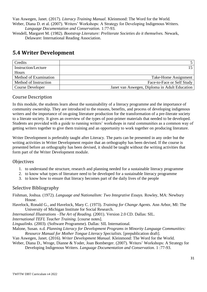Van Aswegen, Janet. (2017). *Literacy Training Manual.* Kleinmond: The Word for the World. Weber, Diana D. et al. (2007). Writers' Workshops: A Strategy for Developing Indigenous Writers. *Language Documentation and Conservation.* 1:77-93.

Wendell, Margaret M. (1982). *Bootstrap Literature: Preliterate Societies do it themselves.* Newark, Delaware: International Reading Association.

### <span id="page-30-0"></span>**5.4 Writer Development**

| Credits               |                                               |
|-----------------------|-----------------------------------------------|
| Instruction/Lecture   |                                               |
| <b>Hours</b>          |                                               |
| Method of Examination | Take-Home Assignment                          |
| Method of Instruction | Face-to-Face or Self Study                    |
| Course Developer      | Janet van Aswegen, Diploma in Adult Education |

#### Course Description

In this module, the students learn about the sustainability of a literacy programme and the importance of community ownership. They are introduced to the reasons, benefits, and process of developing indigenous writers and the importance of on-going literature production for the transformation of a pre-literate society to a literate society. It gives an overview of the types of post-primer materials that needed to be developed. Students are provided with a guide to running writers' workshops in rural communities as a common way of getting writers together to give them training and an opportunity to work together on producing literature.

Writer Development is preferably taught after Literacy. The parts can be presented in any order but the writing activities in Writer Development require that an orthography has been devised. If the course is presented before an orthography has been devised, it should be taught without the writing activities that form part of the Writer Development module.

#### **Objectives**

- 1. to understand the structure, research and planning needed for a sustainable literacy programme
- 2. to know what types of literature need to be developed for a sustainable literacy programme
- 3. to know how to ensure that literacy becomes part of the daily lives of the people

#### Selective Bibliography

- Fishman, Joshua. (1972). *Language and Nationalism: Two Integrative Essays.* Rowley, MA: Newbury House.
- Havelock, Ronald G., and Havelock, Mary C. (1973). *Training for Change Agents.* Ann Arbor, MI: The University of Michigan Institute for Social Research.
- *International Illustrations –The Art of Reading.* (2001). Version 2.0 CD. Dallas: SIL.

*International TEFL Teacher Training*. [course notes].

*Lingualinks*. (2003). (Software Programme). Dallas: SIL International.

- Malone, Susan. n.d. *Planning Literacy for Development Programs in Minority Language Communities: Resource Manual for Mother Tongue Literacy Specialists*. [prepublication draft].
- Van Aswegen, Janet. (2016). *Writer Development Manual.* Kleinmond: The Word for the World.
- Weber, Diana D., Wroge, Dianne & Yoder, Joan Bomberger. (2007). Writers' Workshops: A Strategy for Developing Indigenous Writers. *Language Documentation and Conservation.* 1 :77-93.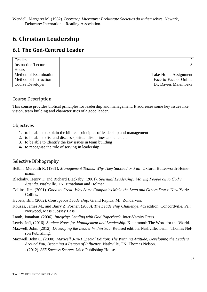Wendell, Margaret M. (1982). *Bootstrap Literature: Preliterate Societies do it themselves.* Newark, Delaware: International Reading Association.

# <span id="page-31-0"></span>**6. Christian Leadership**

### <span id="page-31-1"></span>**6.1 The God-Centred Leader**

| Credits               |                        |
|-----------------------|------------------------|
| Instruction/Lecture   |                        |
| <b>Hours</b>          |                        |
| Method of Examination | Take-Home Assignment   |
| Method of Instruction | Face-to-Face or Online |
| Course Developer      | Dr. Davies Malembeka   |

#### Course Description

This course provides biblical principles for leadership and management. It addresses some key issues like vision, team building and characteristics of a good leader.

#### **Objectives**

- 1. to be able to explain the biblical principles of leadership and management
- 2. to be able to list and discuss spiritual disciplines and character
- 3. to be able to identify the key issues in team building
- 4. to recognise the role of serving in leadership

#### Selective Bibliography

Belbin, Meredith R. (1981). *Management Teams: Why They Succeed or Fail*. Oxford: Butterworth-Heinemann.

Blackaby, Henry T, and Richard Blackaby. (2001). *Spiritual Leadership: Moving People on to God's Agenda*. Nashville. TN: Broadman and Holman.

Collins, Jim. (2001). *Good to Great: Why Some Companies Make the Leap and Others Don't*. New York: Collins.

Hybels, Bill. (2002). *Courageous Leadership*. Grand Rapids, MI: Zondervan.

- Kouzes, James M., and Barry Z. Posner. (2008). *The Leadership Challenge*. 4th edition. Concordville, Pa.; Norwood, Mass.: Jossey Bass.
- Lamb, Jonathan. (2006). *Integrity: Leading with God Paperback.* Inter-Varsity Press.

Lewis, Jeff, (2016). *Student Notes for Management and Leadership.* Kleinmond: The Word for the World.

Maxwell, John. (2012). *Developing the Leader Within You*. Revised edition. Nashville, Tenn.: Thomas Nelson Publishing.

Maxwell, John C. (2000). *Maxwell 3-In-1 Special Edition: The Winning Attitude, Developing the Leaders Around You, Becoming a Person of Influence*. Nashville, TN: Thomas Nelson.

———. (2012). *365 Success Secrets*. Jaico Publishing House.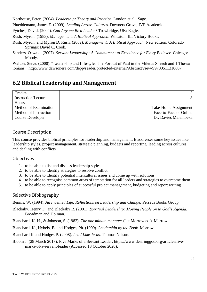Northouse, Peter. (2004). *Leadership: Theory and Practice*. London et al.: Sage.

Plueddemann, James E. (2009). *Leading Across Cultures*. Downers Grove, IVP Academic.

Pytches, David. (2004). *Can Anyone Be a Leader?* Trowbridge, UK: Eagle.

Rush, Myron. (1983). *Management: A Biblical Approach*. Wheaton, IL: Victory Books.

Rush, Myron, and Myron D. Rush. (2002). *Management: A Biblical Approach*. New edition. Colorado Springs: David C. Cook.

Walton, Steve. (2000). "Leadership and Lifestyle: The Portrait of Paul in the Miletus Speech and 1 Thessalonians."<http://www.dawsonera.com/depp/reader/protected/external/AbstractView/S9780511310607>

### <span id="page-32-0"></span>**6.2 Biblical Leadership and Management**

| Credits               |                        |
|-----------------------|------------------------|
| Instruction/Lecture   |                        |
| Hours                 |                        |
| Method of Examination | Take-Home Assignment   |
| Method of Instruction | Face-to-Face or Online |
| Course Developer      | Dr. Davies Malembeka   |

#### Course Description

This course provides biblical principles for leadership and management. It addresses some key issues like leadership styles, project management, strategic planning, budgets and reporting, leading across cultures, and dealing with conflicts.

#### **Objectives**

- 1. to be able to list and discuss leadership styles
- 2. to be able to identify strategies to resolve conflict
- 3. to be able to identify potential intercultural issues and come up with solutions
- 4. to be able to recognise common areas of temptation for all leaders and strategies to overcome them
- 5. to be able to apply principles of successful project management, budgeting and report writing

#### Selective Bibliography

Bennis, W. (1994). *An Invented Life: Reflections on Leadership and Change.* Perseus Books Group

- Blackaby, Henry T., and Blackaby R. (2001). *Spiritual Leadership: Moving People on to God's Agenda.* Broadman and Holman.
- Blanchard, K. H., & Johnson, S. (1982). *The one minute manager* (1st Morrow ed.). Morrow.
- Blanchard, K., Hybels, B. and Hodges, Ph. (1999). *Leadership by the Book.* Morrow.

Blanchard K and Hodges P. (2008). *Lead Like Jesus*. Thomas Nelson.

Bloom J. (28 March 2017). Five Marks of a Servant Leader. https://www.desiringgod.org/articles/fivemarks-of-a-servant-leader (Accessed 13 October 2020).

Sanders, Oswald. (2007). *Servant Leadership: A Commitment to Excellence for Every Believer*. Chicago: Moody.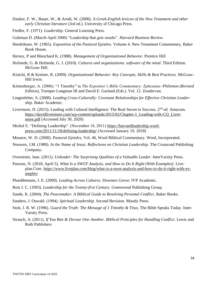- Danker, F. W., Bauer, W., & Arndt, W. (2000). *A Greek-English lexicon of the New Testament and other early Christian literature* (3rd ed.). University of Chicago Press.
- Fiedler, F. (1971). *Leadership*. General Learning Press.
- Goleman D. (March-April 2000) "Leadership that gets results". *Harvard Business Review.*
- Hendriksen, W. (1965). *Exposition of the Pastoral Epistles*. Volume 4. New Testament Commentary. Baker Book House.
- Hersey, P and Blanchard K. (1988). *Management of Organizational Behavior.* Prentice Hill
- Hofstede, G. & Hofstede, G. J. (2010). *Cultures and organizations: software of the mind*. Third Edition. McGraw Hill.
- Kinichi, R & Kreiner, R. (2009). *Organizational Behavior: Key Concepts, Skills & Best Practices.* McGraw-Hill Irwin.
- Köstenberger, A. (2006). "1 Timothy" in *The Expositor's Bible Commentary: Ephesians–Philemon (Revised Edition)*, Tremper Longman III and David E. Garland (Eds.). Vol. 12. Zondervan.
- Lingenfelter, S. (2008). *Leading Cross-Culturally: Covenant Relationships for Effective Christian Leadership*. Baker Academic.
- Livermore, D. (2015). Leading with Cultural Intelligence: The Real Secret to Success. 2<sup>nd</sup> ed. Amacom. [https://davidlivermore.com/wp-content/uploads/2015/02/Chapter-1\\_Leading-with-CQ\\_Liver](https://davidlivermore.com/wp-content/uploads/2015/02/Chapter-1_Leading-with-CQ_Livermore.pdf)[more.pdf](https://davidlivermore.com/wp-content/uploads/2015/02/Chapter-1_Leading-with-CQ_Livermore.pdf) (Accessed July 30, 2020)
- Michel E. "Defining Leadership". (November 18, 2011) [https://harvardleadership.word](https://harvardleadership.wordpress.com/2011/11/18/defining-leadership/)[press.com/2011/11/18/defining-leadership/](https://harvardleadership.wordpress.com/2011/11/18/defining-leadership/) (Accessed January 10, 2018)
- Mounce, W. D. (2000). *Pastoral Epistles*, Vol. 46, Word Biblical Commentary. Word, Incorporated.
- Nouwen, J.M. (1989). *In the Name of Jesus: Reflections on Christian Leadership*. The Crossroad Publishing Company.
- Overstreet, Jane. (2011). *Unleader: The Surprising Qualities of a Valuable Leader*. InterVarsity Press.
- Parsons, N. (2018, April 5). *What Is a SWOT Analysis, and How to Do It Right (With Examples)*. Liveplan.Com. [https://www.liveplan.com/blog/what-is-a-swot-analysis-and-how-to-do-it-right-with-ex](https://www.liveplan.com/blog/what-is-a-swot-analysis-and-how-to-do-it-right-with-examples/)[amples/](https://www.liveplan.com/blog/what-is-a-swot-analysis-and-how-to-do-it-right-with-examples/)
- Plueddemann, J. E. (2009). *Leading Across Cultures*. Downers Grove: IVP Academic.
- Rost J. C. (1993). *Leadership for the Twenty-first Century*. Greenwood Publishing Group.
- Sande, K. (2004). *The Peacemaker: A Biblical Guide to Resolving Personal Conflict*. Baker Books.
- Sanders, J. Oswald. (1994). *Spiritual Leadership*. Second Revision. Moody Press.
- Stott, J. R. W. (1996). *Guard the Truth: The Message of 1 Timothy & Titus*, The Bible Speaks Today. Inter-Varsity Press.
- Strauch, A. (2011). *If You Bite & Devour One Another. Biblical Principles for Handling Conflict*. Lewis and Roth Publishers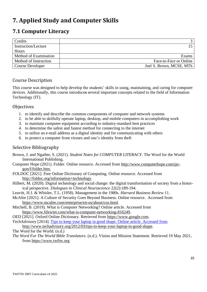# <span id="page-34-0"></span>**7. Applied Study and Computer Skills**

## <span id="page-34-1"></span>**7.1 Computer Literacy**

| Credits               |                          |
|-----------------------|--------------------------|
| Instruction/Lecture   |                          |
| Hours                 |                          |
| Method of Examination | <b>Exams</b>             |
| Method of Instruction | Face-to-Face or Online   |
| Course Developer      | Joel S. Brown, MCSE, MTh |

#### Course Description

This course was designed to help develop the students' skills in using, maintaining, and caring for computer devices. Additionally, this course introduce**s** several important concepts related to the field of Information Technology (IT).

#### **Objectives**

- 1. to identify and describe the common components of computer and network systems
- 2. to be able to skilfully operate laptop, desktop, and mobile computers in accomplishing work
- 3. to maintain computer equipment according to industry-standard best practices
- 4. to determine the safest and fastest method for connecting to the internet
- 5. to utilize an e-mail address as a digital identity and for communicating with others
- 6. to protect a computer from viruses and one's identity from theft

#### Selective Bibliography

- Brown, J. and Ngaihte, S. (2021). *Student Notes for COMPUTER LITERACY*. The Word for the World International Publishing.
- Computer Hope (2021). Folder. Online resource. Accessed from [http://www.computerhope.com/jar](http://www.computerhope.com/jargon/f/folder.htm)[gon/f/folder.htm.](http://www.computerhope.com/jargon/f/folder.htm)
- FOLDOC [2021]. Free Online Dictionary of Computing. Online resource. Accessed from [http://foldoc.org/information+technology.](http://foldoc.org/information+technology)
- Hilbert, M. (2020). Digital technology and social change: the digital transformation of society from a historical perspective. *Dialogues in Clinical Neuroscience* 22(2):189-194.
- Leavitt, H.J. & Whisler, T.L. (1958). Management in the 1980s. *Harvard Business Review* 11.
- McAfee [2021]. A Culture of Security Goes Beyond Business. Online resource. Accessed from [https://www.mcafee.com/enterprise/en-us/about/cos.html.](https://www.mcafee.com/enterprise/en-us/about/cos.html)
- Mitchell, B. (2019). What is Computer Networking? Online article. Accessed from [https://www.lifewire.com/what-is-computer-networking-816249.](https://www.lifewire.com/what-is-computer-networking-816249)
- OED [2021]. Oxford Online Dictionary. Retrieved from [https://www.google.com.](https://www.google.com/)
- TechAdvisory [2014]. [Tips to keep your laptop in good shape.](http://www.techadvisory.org/2012/03/tips-to-keep-your-laptop-in-good-shape) Online article. Accessed from
- [http://www.techadvisory.org/2012/03/tips-to-keep-your-laptop-in-good-shape.](http://www.techadvisory.org/2012/03/tips-to-keep-your-laptop-in-good-shape)

The Word for the World. (n.d.)

*The Word For The World Bible Translators*. (n.d.). Vision and Mission Statement. Retrieved 19 May 2021, from [https://www.twftw.org](https://www.twftw.org/)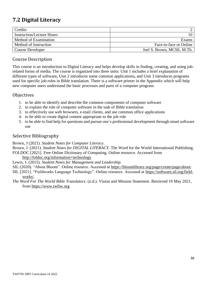# <span id="page-35-0"></span>**7.2 Digital Literacy**

| Credits                          |                            |
|----------------------------------|----------------------------|
| <b>Instruction/Lecture Hours</b> |                            |
| Method of Examination            | Exams                      |
| Method of Instruction            | Face-to-face or Online     |
| Course Developer                 | Joel S. Brown, MCSE, M.Th. |

#### Course Description

This course is an introduction to Digital Literacy and helps develop skills in finding, creating, and using jobrelated forms of media. The course is organized into three units: Unit 1 includes a brief explanation of different types of software**,** Unit 2 introduces some common applications**,** and Unit 3 introduces programs used for specific job roles in Bible translation. There is a software primer in the Appendix which will help new computer users understand the basic processes and parts of a computer program.

#### **Objectives**

- 1. to be able to identify and describe the common components of computer software
- 2. to explain the role of computer software in the task of Bible translation
- 3. to effectively use web browsers, e-mail clients, and use common office applications
- 4. to be able to create digital content appropriate to the job role
- 5. to be able to find help for questions and pursue one's professional development through smart software use

#### Selective Bibliography

Brown, J (2021). *Student Notes for Computer Literacy*.

Brown, J. (2021). *Student Notes for DIGITAL LITERACY*. The Word for the World International Publishing. FOLDOC [2021]. Free Online Dictionary of Computing. Online resource. Accessed from

<http://foldoc.org/information+technology>

Lewis, J. (2015). *Student Notes for Management and Leadership*.

SIL (2020). "About Bloom". Online resource. Accessed at [https://bloomlibrary.org/page/create/page/about.](https://bloomlibrary.org/page/create/page/about)

- SIL [2021]. "Fieldworks Language Technology". Online resource. Accessed at [https://software.sil.org/field](https://software.sil.org/fieldworks/)[works/.](https://software.sil.org/fieldworks/)
- *The Word For The World Bible Translators*. (n.d.). Vision and Mission Statement. Retrieved 19 May 2021, from [https://www.twftw.org](https://www.twftw.org/)